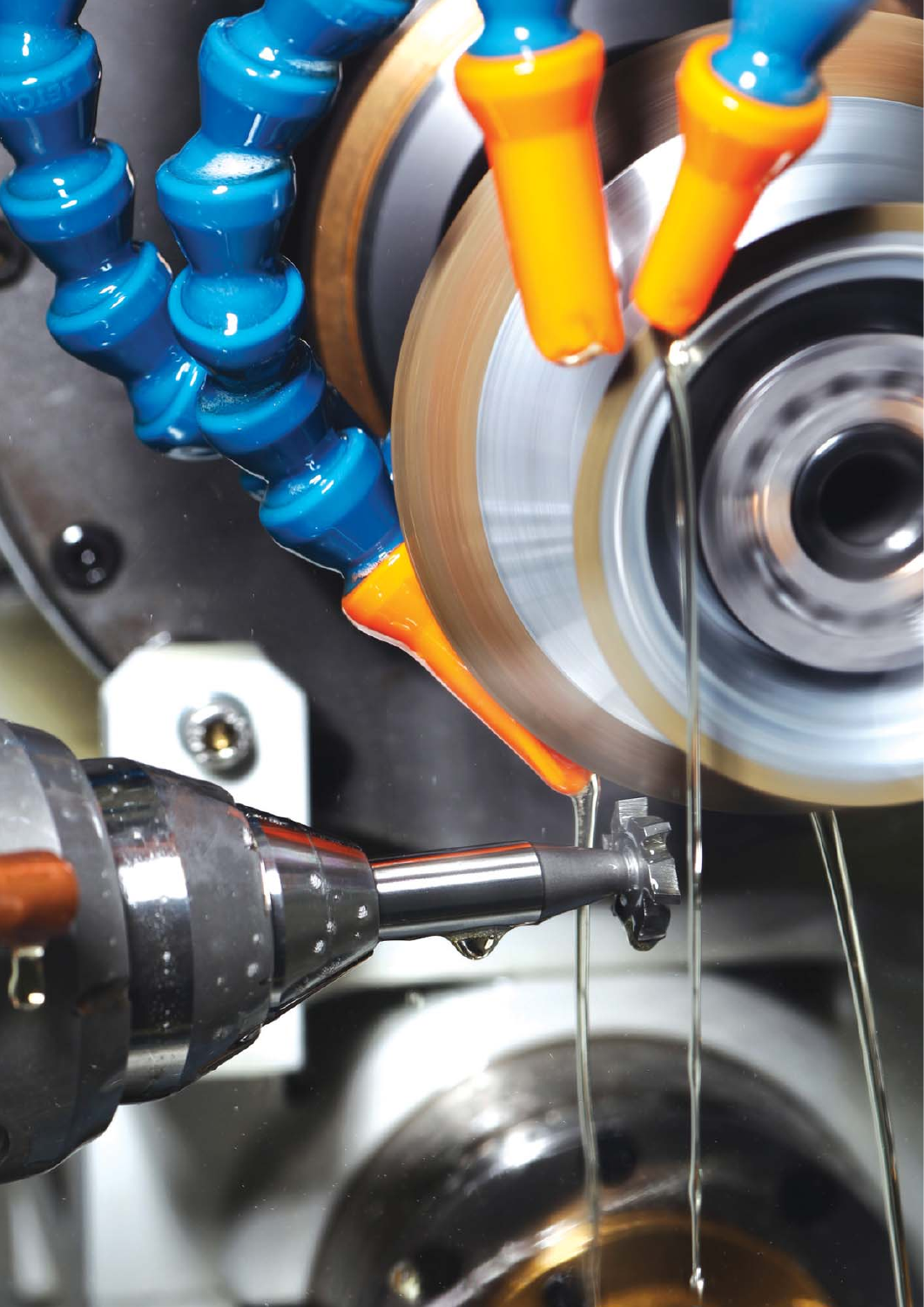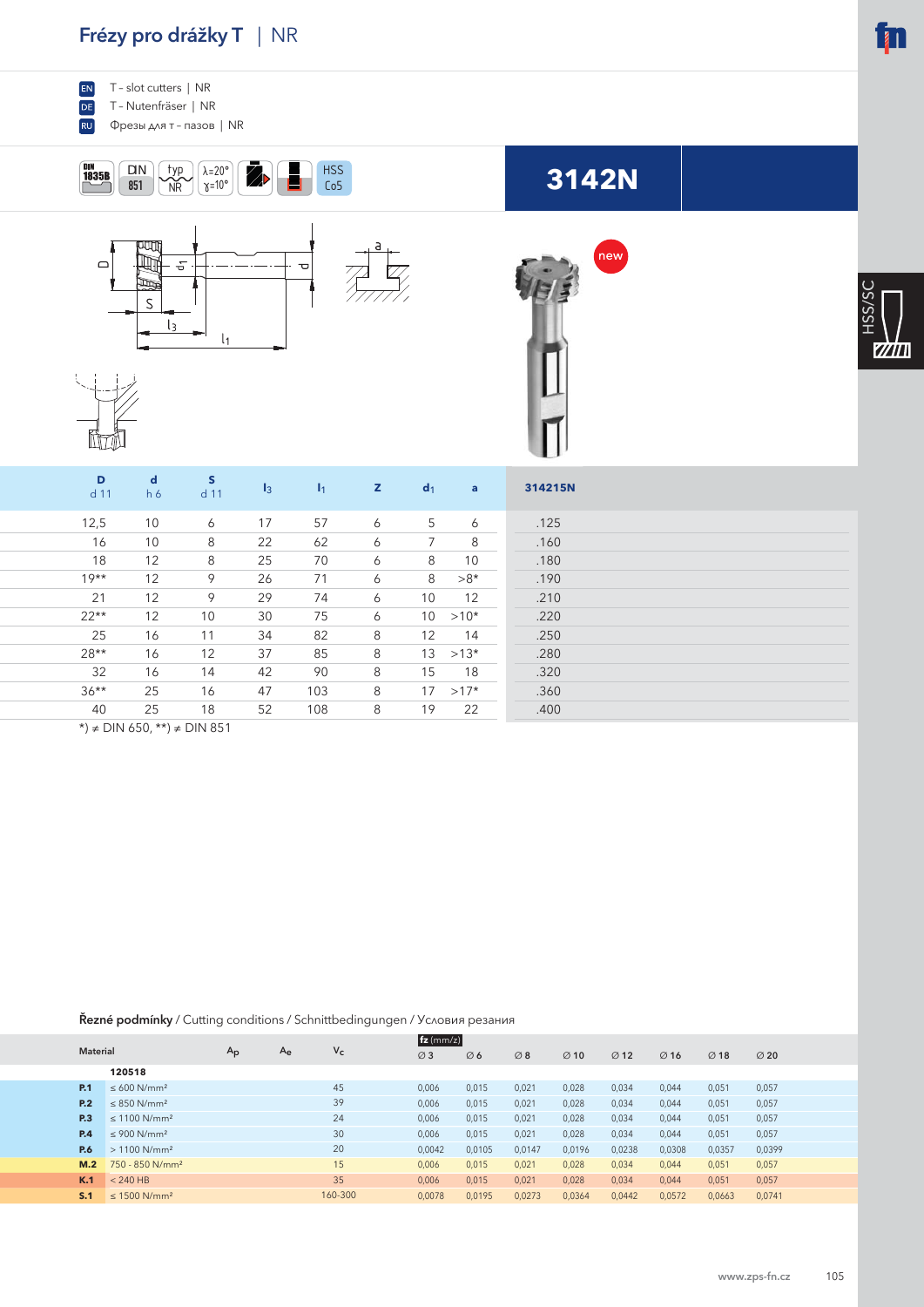# Frézy pro drážky T | NR

- $EN$ T - slot cutters | NR
- T Nutenfräser | NR  $DE$
- Фрезы для т пазов | NR **RU**









| D<br>d <sub>11</sub> | $\mathbf d$<br>h 6 | $\mathsf{s}$<br>d 11 | $\mathbf{I}_3$ | $\mathbf{I}_1$ | $\mathbf{z}$ | d <sub>1</sub> | $\mathbf{a}$ | 314215N |
|----------------------|--------------------|----------------------|----------------|----------------|--------------|----------------|--------------|---------|
| 12,5                 | 10                 | 6                    | 17             | 57             | 6            | 5              | 6            | .125    |
| 16                   | 10                 | 8                    | 22             | 62             | 6            | $\overline{7}$ | 8            | .160    |
| 18                   | 12                 | 8                    | 25             | 70             | 6            | 8              | 10           | .180    |
| $19**$               | 12                 | 9                    | 26             | 71             | 6            | 8              | $>8*$        | .190    |
| 21                   | 12                 | 9                    | 29             | 74             | 6            | 10             | 12           | .210    |
| $22**$               | 12                 | 10                   | 30             | 75             | 6            | 10             | $>10*$       | .220    |
| 25                   | 16                 | 11                   | 34             | 82             | 8            | 12             | 14           | .250    |
| $28**$               | 16                 | 12                   | 37             | 85             | 8            | 13             | $>13*$       | .280    |
| 32                   | 16                 | 14                   | 42             | 90             | 8            | 15             | 18           | .320    |
| $36***$              | 25                 | 16                   | 47             | 103            | 8            | 17             | $>17*$       | .360    |
| 40                   | 25                 | 18                   | 52             | 108            | 8            | 19             | 22           | .400    |

3142N

new

\*)  $\neq$  DIN 650, \*\*)  $\neq$  DIN 851

Řezné podmínky / Cutting conditions / Schnittbedingungen / Условия резания

| <b>Material</b> |                               | $A_{p}$ | $A_{e}$ | $V_c$   | $fz$ (mm/z)<br>$\varnothing$ 3 | $\varnothing$ 6 | $\varnothing$ 8 | $\varnothing$ 10 | $\varnothing$ 12 | $\varnothing$ 16 | $\varnothing$ 18 | $\varnothing$ 20 |
|-----------------|-------------------------------|---------|---------|---------|--------------------------------|-----------------|-----------------|------------------|------------------|------------------|------------------|------------------|
|                 | 120518                        |         |         |         |                                |                 |                 |                  |                  |                  |                  |                  |
| <b>P.1</b>      | $\leq 600$ N/mm <sup>2</sup>  |         |         | 45      | 0,006                          | 0,015           | 0,021           | 0,028            | 0,034            | 0,044            | 0,051            | 0,057            |
| P <sub>2</sub>  | $\leq$ 850 N/mm <sup>2</sup>  |         |         | 39      | 0,006                          | 0,015           | 0,021           | 0,028            | 0,034            | 0,044            | 0,051            | 0,057            |
| P.3             | $\leq$ 1100 N/mm <sup>2</sup> |         |         | 24      | 0,006                          | 0,015           | 0,021           | 0,028            | 0,034            | 0,044            | 0,051            | 0,057            |
| <b>P.4</b>      | $< 900$ N/mm <sup>2</sup>     |         |         | 30      | 0.006                          | 0,015           | 0,021           | 0,028            | 0,034            | 0,044            | 0,051            | 0,057            |
| P.6             | $> 1100$ N/mm <sup>2</sup>    |         |         | 20      | 0.0042                         | 0,0105          | 0,0147          | 0,0196           | 0,0238           | 0,0308           | 0,0357           | 0,0399           |
| M.2             | 750 - 850 N/mm <sup>2</sup>   |         |         | 15      | 0,006                          | 0,015           | 0,021           | 0,028            | 0,034            | 0,044            | 0,051            | 0,057            |
| K.1             | $< 240$ HB                    |         |         | 35      | 0,006                          | 0,015           | 0,021           | 0,028            | 0,034            | 0,044            | 0,051            | 0,057            |
| S.1             | $\leq$ 1500 N/mm <sup>2</sup> |         |         | 160-300 | 0.0078                         | 0.0195          | 0,0273          | 0.0364           | 0.0442           | 0,0572           | 0,0663           | 0.0741           |

**NS/SS** 

<u>ezim</u>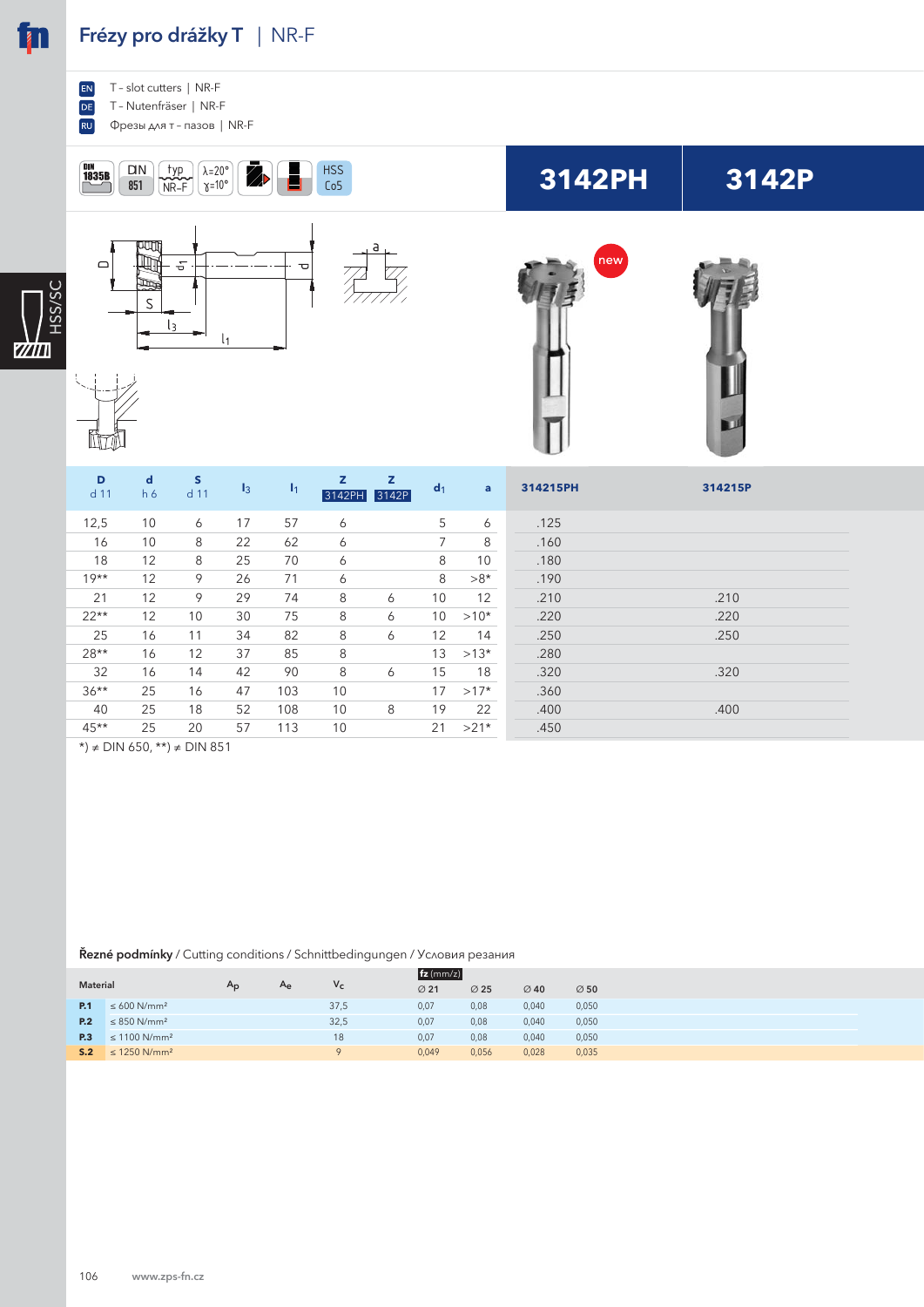### Frézy pro drážky T | NR-F

T - slot cutters | NR-F  $\boxed{EN}$ 

m

- T-Nutenfräser | NR-F  $DE$
- Фрезы для т пазов | NR-F **RU**



| D<br>d <sub>11</sub> | $\mathbf d$<br>h 6 | $\mathsf{s}$<br>d <sub>11</sub> | $\mathsf{I}_3$ | $\mathbf{I}_1$ | z<br>$3142PH$ | z<br>3142P | d <sub>1</sub> | $\mathbf{a}$ | 314215PH | 314215P |
|----------------------|--------------------|---------------------------------|----------------|----------------|---------------|------------|----------------|--------------|----------|---------|
| 12,5                 | 10                 | 6                               | 17             | 57             | 6             |            | 5              | 6            | .125     |         |
| 16                   | 10                 | 8                               | 22             | 62             | 6             |            | $\overline{7}$ | 8            | .160     |         |
| 18                   | 12                 | 8                               | 25             | 70             | 6             |            | 8              | 10           | .180     |         |
| $19***$              | 12                 | 9                               | 26             | 71             | 6             |            | 8              | $>8*$        | .190     |         |
| 21                   | 12                 | 9                               | 29             | 74             | 8             | 6          | 10             | 12           | .210     | .210    |
| $22**$               | 12                 | 10                              | 30             | 75             | 8             | 6          | 10             | $>10*$       | .220     | .220    |
| 25                   | 16                 | 11                              | 34             | 82             | 8             | 6          | 12             | 14           | .250     | .250    |
| $28**$               | 16                 | 12                              | 37             | 85             | 8             |            | 13             | $>13*$       | .280     |         |
| 32                   | 16                 | 14                              | 42             | 90             | 8             | 6          | 15             | 18           | .320     | .320    |
| $36***$              | 25                 | 16                              | 47             | 103            | 10            |            | 17             | $>17*$       | .360     |         |
| 40                   | 25                 | 18                              | 52             | 108            | 10            | 8          | 19             | 22           | .400     | .400    |
| $45**$               | 25                 | 20                              | 57             | 113            | 10            |            | 21             | $>21*$       | .450     |         |

\*)  $\neq$  DIN 650, \*\*)  $\neq$  DIN 851

| Material   |                               | $A_{D}$ | $A_{e}$ | $V_c$ | $ f$ z (mm/z) $ $<br>Ø 21 | $\varnothing$ 25 | $\varnothing$ 40 | $\varnothing$ 50 |
|------------|-------------------------------|---------|---------|-------|---------------------------|------------------|------------------|------------------|
| <b>P.1</b> | $\leq 600$ N/mm <sup>2</sup>  |         |         | 37,5  | 0,07                      | 0,08             | 0,040            | 0,050            |
| P.2        | $\leq$ 850 N/mm <sup>2</sup>  |         |         | 32,5  | 0,07                      | 0,08             | 0,040            | 0,050            |
| <b>P.3</b> | $\leq$ 1100 N/mm <sup>2</sup> |         |         | 18    | 0,07                      | 0,08             | 0,040            | 0,050            |
| S.2        | $\leq$ 1250 N/mm <sup>2</sup> |         |         |       | 0,049                     | 0,056            | 0,028            | 0,035            |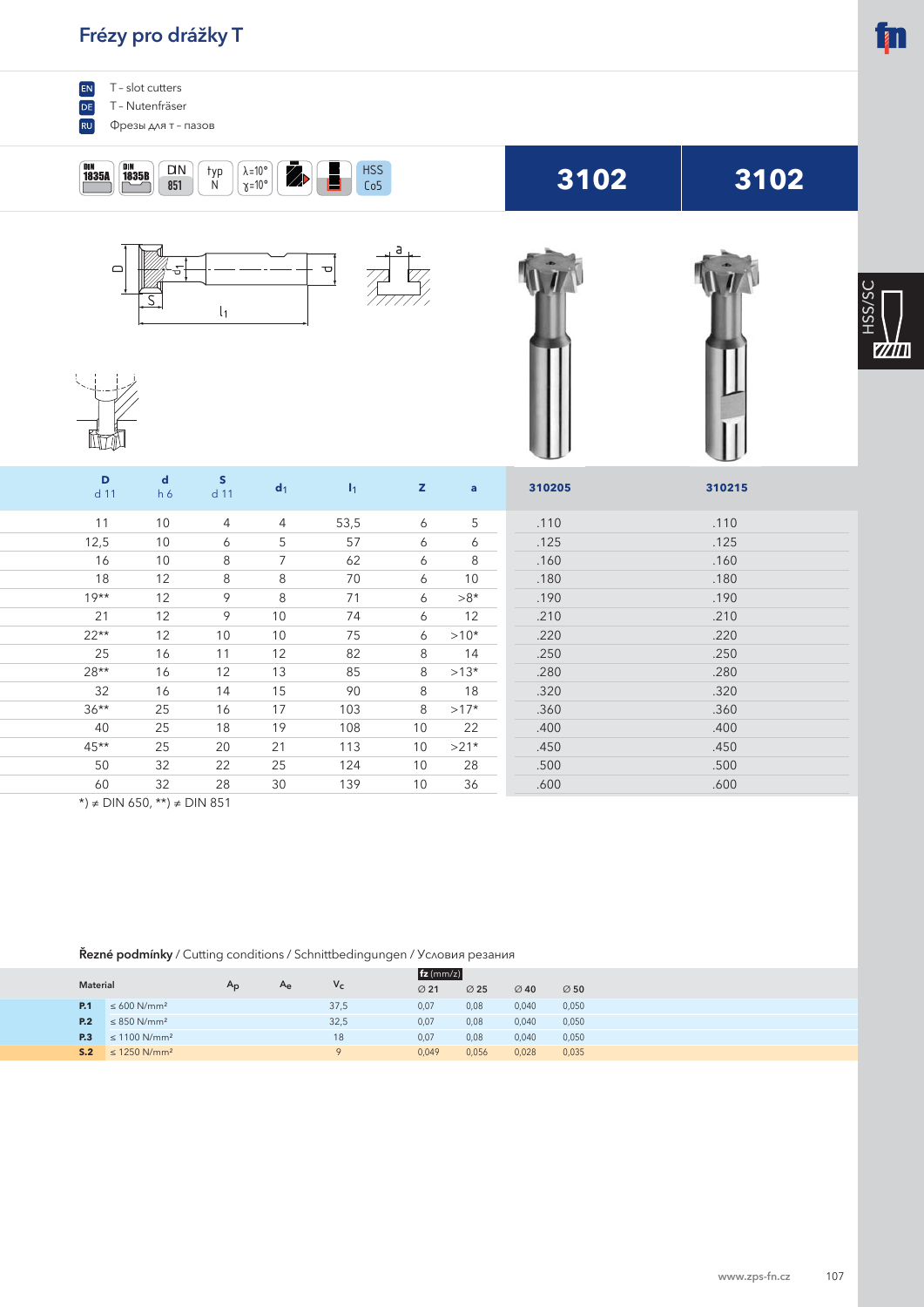# Frézy pro drážky T

- $EN$ T - slot cutters
- T Nutenfräser  $DE$
- **RU** Фрезы для т - пазов







3102



3102





| D<br>d 11 | $\mathbf d$<br>h6 | S<br>d <sub>11</sub> | d <sub>1</sub> | I <sub>1</sub> | $\mathbf{z}$ | $\mathbf{a}$ | 310205 | 310215 |
|-----------|-------------------|----------------------|----------------|----------------|--------------|--------------|--------|--------|
| 11        | 10                | $\overline{4}$       | 4              | 53,5           | 6            | 5            | .110   | .110   |
| 12,5      | 10                | 6                    | 5              | 57             | 6            | 6            | .125   | .125   |
| 16        | 10                | 8                    | 7              | 62             | 6            | 8            | .160   | .160   |
| 18        | 12                | 8                    | 8              | 70             | 6            | 10           | .180   | .180   |
| $19***$   | 12                | 9                    | 8              | 71             | 6            | $>8^*$       | .190   | .190   |
| 21        | 12                | 9                    | 10             | 74             | 6            | 12           | .210   | .210   |
| $22**$    | 12                | 10                   | 10             | 75             | 6            | $>10*$       | .220   | .220   |
| 25        | 16                | 11                   | 12             | 82             | 8            | 14           | .250   | .250   |
| 28**      | 16                | 12                   | 13             | 85             | 8            | $>13*$       | .280   | .280   |
| 32        | 16                | 14                   | 15             | 90             | 8            | 18           | .320   | .320   |
| $36***$   | 25                | 16                   | 17             | 103            | 8            | $>17*$       | .360   | .360   |
| 40        | 25                | 18                   | 19             | 108            | 10           | 22           | .400   | .400   |
| $45**$    | 25                | 20                   | 21             | 113            | 10           | $>21*$       | .450   | .450   |
| 50        | 32                | 22                   | 25             | 124            | 10           | 28           | .500   | .500   |
| 60        | 32                | 28                   | 30             | 139            | 10           | 36           | .600   | .600   |

\*)  $\neq$  DIN 650, \*\*)  $\neq$  DIN 851

Řezné podmínky / Cutting conditions / Schnittbedingungen / Условия резания

| <b>Material</b> |                               | $A_{\mathbf{D}}$ | $A_{e}$ | $V_c$   | $f_{\rm Z}(mm/z)$ |       |                  |                  |
|-----------------|-------------------------------|------------------|---------|---------|-------------------|-------|------------------|------------------|
|                 |                               |                  |         |         | Ø 21              | Ø 25  | $\varnothing$ 40 | $\varnothing$ 50 |
| <b>P.1</b>      | $\leq 600$ N/mm <sup>2</sup>  |                  |         | 37,5    | 0,07              | 0,08  | 0,040            | 0,050            |
| P.2             | $\leq$ 850 N/mm <sup>2</sup>  |                  |         | 32,5    | 0,07              | 0,08  | 0,040            | 0,050            |
| P.3             | $\leq$ 1100 N/mm <sup>2</sup> |                  |         | 18      | 0,07              | 0,08  | 0,040            | 0,050            |
| S.2             | $\leq$ 1250 N/mm <sup>2</sup> |                  |         | $\circ$ | 0,049             | 0,056 | 0,028            | 0,035            |

fn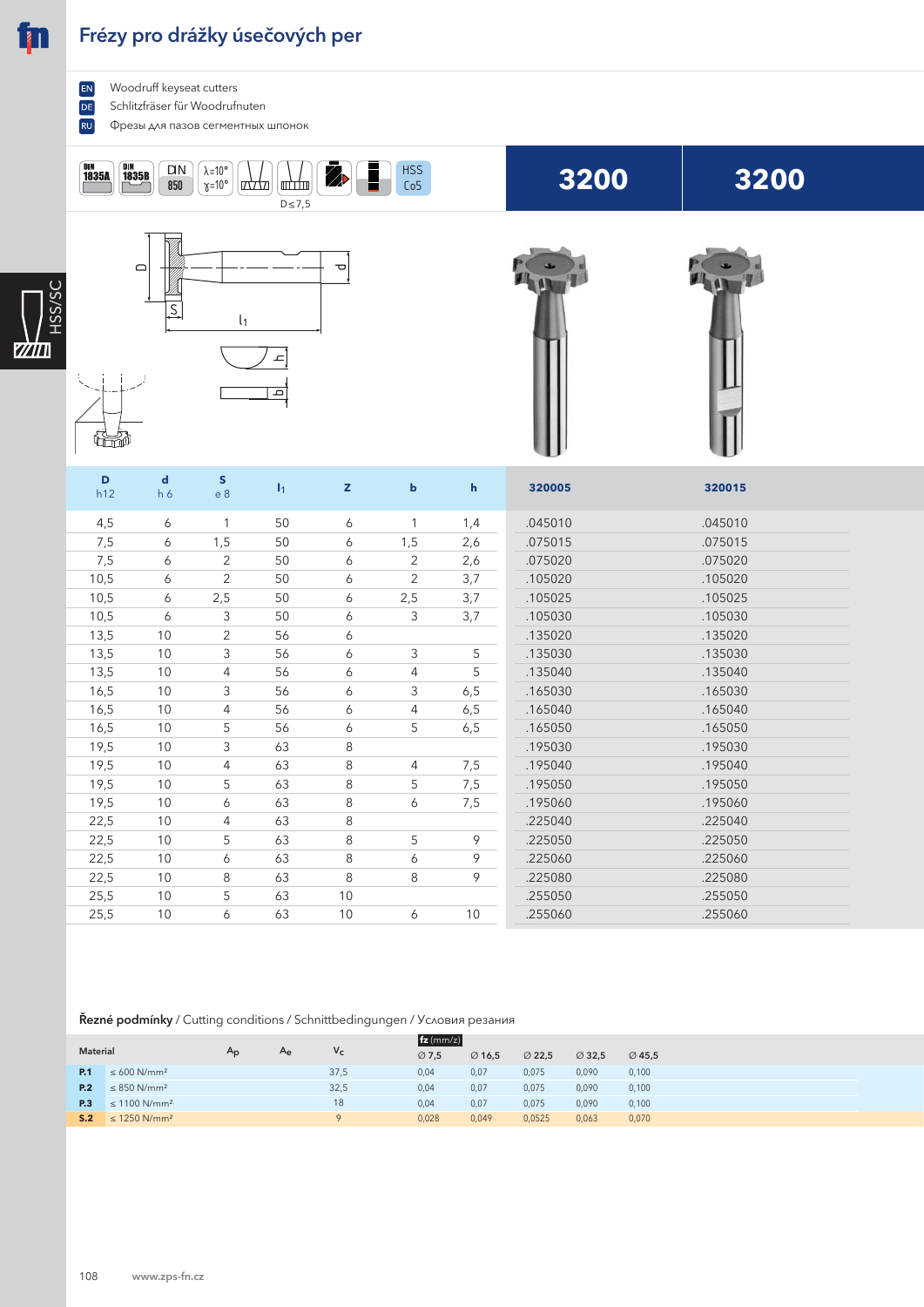

m

Schlitzfräser für Woodrufnuten  $DE$ 

**RU** Фрезы для пазов сегментных шпонок



| D<br>h12 | $\mathbf d$<br>h 6 | $\mathsf{s}$<br>e <sub>8</sub> | $\mathbf{I}_1$ | $\mathbf{z}$ | $\mathbf b$    | $\mathbf{h}$ | 320005  | 320015  |
|----------|--------------------|--------------------------------|----------------|--------------|----------------|--------------|---------|---------|
|          |                    |                                |                |              |                |              |         |         |
| 4,5      | 6                  | 1                              | 50             | 6            | 1              | 1,4          | .045010 | .045010 |
| 7,5      | 6                  | 1,5                            | 50             | 6            | 1,5            | 2,6          | .075015 | .075015 |
| 7,5      | 6                  | $\overline{2}$                 | 50             | 6            | 2              | 2,6          | .075020 | .075020 |
| 10,5     | 6                  | $\overline{2}$                 | 50             | 6            | $\overline{2}$ | 3,7          | .105020 | .105020 |
| 10,5     | 6                  | 2,5                            | 50             | 6            | 2,5            | 3,7          | .105025 | .105025 |
| 10,5     | 6                  | 3                              | 50             | 6            | 3              | 3,7          | .105030 | .105030 |
| 13,5     | 10                 | $\overline{2}$                 | 56             | 6            |                |              | .135020 | .135020 |
| 13,5     | 10                 | 3                              | 56             | 6            | 3              | 5            | .135030 | .135030 |
| 13,5     | 10                 | 4                              | 56             | 6            | $\overline{4}$ | 5            | .135040 | .135040 |
| 16,5     | 10                 | 3                              | 56             | 6            | 3              | 6,5          | .165030 | .165030 |
| 16,5     | 10                 | 4                              | 56             | 6            | 4              | 6,5          | .165040 | .165040 |
| 16,5     | 10                 | 5                              | 56             | 6            | 5              | 6,5          | .165050 | .165050 |
| 19,5     | 10                 | 3                              | 63             | 8            |                |              | .195030 | .195030 |
| 19,5     | 10                 | 4                              | 63             | 8            | 4              | 7,5          | .195040 | .195040 |
| 19,5     | 10                 | 5                              | 63             | 8            | 5              | 7,5          | .195050 | .195050 |
| 19,5     | 10                 | 6                              | 63             | 8            | 6              | 7,5          | .195060 | .195060 |
| 22,5     | 10                 | 4                              | 63             | 8            |                |              | .225040 | .225040 |
| 22,5     | 10                 | 5                              | 63             | 8            | 5              | 9            | .225050 | .225050 |
| 22,5     | 10                 | 6                              | 63             | 8            | 6              | 9            | .225060 | .225060 |
| 22,5     | 10                 | 8                              | 63             | 8            | 8              | 9            | .225080 | .225080 |
| 25,5     | 10                 | 5                              | 63             | 10           |                |              | .255050 | .255050 |
| 25,5     | 10                 | 6                              | 63             | 10           | 6              | 10           | .255060 | .255060 |

| <b>Material</b> |                               | $A_{\mathbf{D}}$ | $A_{e}$ | $V_c$   | $\left  \frac{f}{z} \right $ (mm/z)<br>$\varnothing$ 7.5 | $\varnothing$ 16,5 | $\varnothing$ 22,5 | $\varnothing$ 32.5 | $\varnothing$ 45.5 |
|-----------------|-------------------------------|------------------|---------|---------|----------------------------------------------------------|--------------------|--------------------|--------------------|--------------------|
| <b>P.1</b>      | $\leq 600$ N/mm <sup>2</sup>  |                  |         | 37,5    | 0,04                                                     | 0,07               | 0,075              | 0,090              | 0,100              |
| P <sub>2</sub>  | $\leq$ 850 N/mm <sup>2</sup>  |                  |         | 32,5    | 0,04                                                     | 0,07               | 0,075              | 0,090              | 0,100              |
| P.3             | $\leq$ 1100 N/mm <sup>2</sup> |                  |         | 18      | 0,04                                                     | 0,07               | 0,075              | 0,090              | 0,100              |
| S.2             | $\leq$ 1250 N/mm <sup>2</sup> |                  |         | $\circ$ | 0,028                                                    | 0,049              | 0,0525             | 0,063              | 0,070              |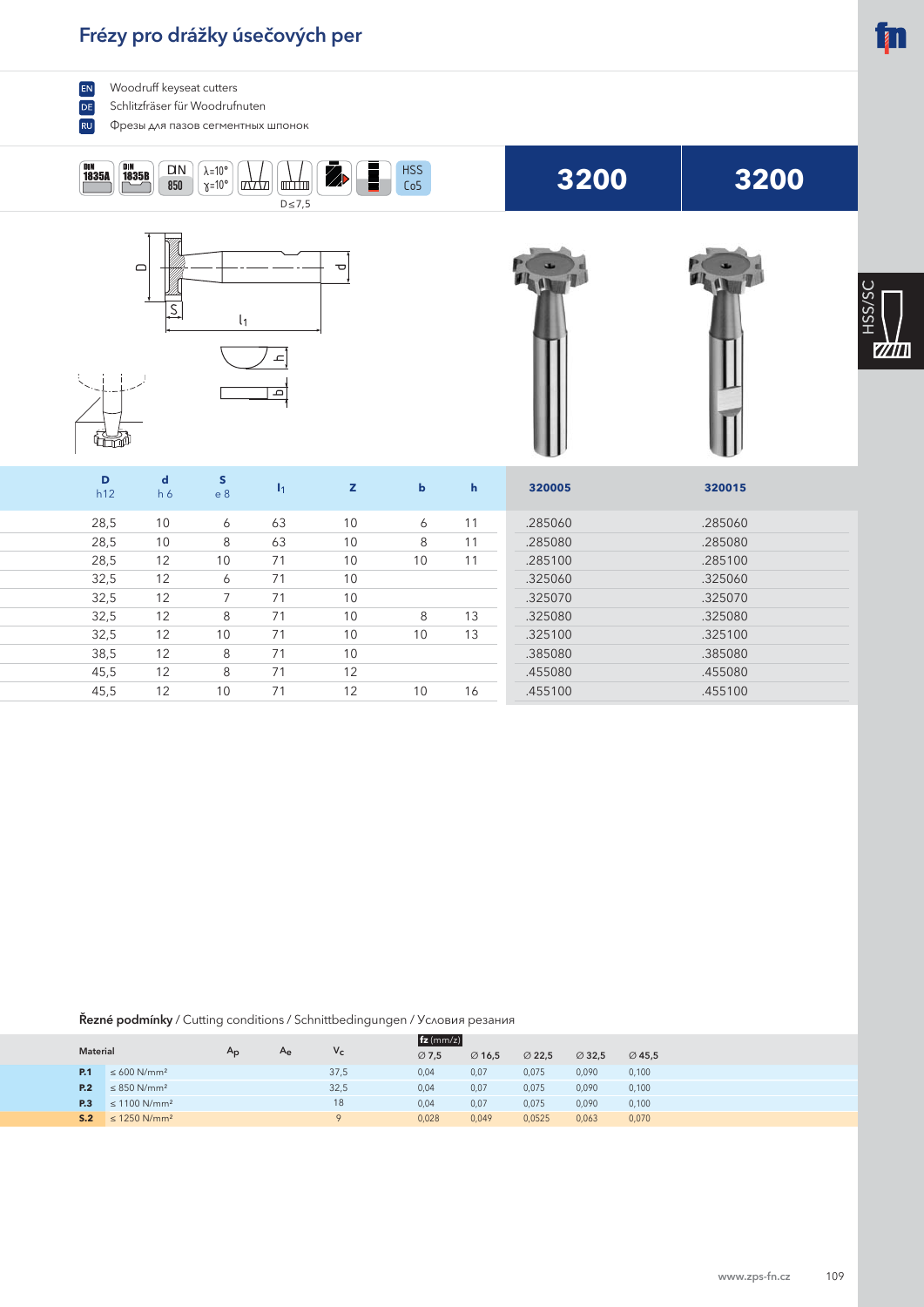

- Schlitzfräser für Woodrufnuten  $DE$
- **RU** Фрезы для пазов сегментных шпонок







3200



3200



| D<br>h12 | $\mathbf d$<br>h 6 | $\mathsf{s}$<br>e <sub>8</sub> | $\mathbf{I}_1$ | z  | $\mathbf b$ | $\mathbf{h}$ | 320005  | 320015  |
|----------|--------------------|--------------------------------|----------------|----|-------------|--------------|---------|---------|
| 28,5     | 10                 | 6                              | 63             | 10 | 6           | 11           | .285060 | .285060 |
| 28,5     | 10                 | 8                              | 63             | 10 | 8           | 11           | .285080 | .285080 |
| 28,5     | 12                 | 10                             | 71             | 10 | 10          | 11           | .285100 | .285100 |
| 32,5     | 12                 | 6                              | 71             | 10 |             |              | .325060 | .325060 |
| 32,5     | 12                 |                                | 71             | 10 |             |              | .325070 | .325070 |
| 32,5     | 12                 | 8                              | 71             | 10 | 8           | 13           | .325080 | .325080 |
| 32,5     | 12                 | 10                             | 71             | 10 | 10          | 13           | .325100 | .325100 |
| 38,5     | 12                 | 8                              | 71             | 10 |             |              | .385080 | .385080 |
| 45,5     | 12                 | 8                              | 71             | 12 |             |              | .455080 | .455080 |
| 45,5     | 12                 | 10                             | 71             | 12 | 10          | 16           | .455100 | .455100 |
|          |                    |                                |                |    |             |              |         |         |

| <b>Material</b> |                               | A <sub>D</sub> | $A_{\mathbf{e}}$ | $V_c$ | $fz$ (mm/z)<br>$\varnothing$ 7,5 | $\varnothing$ 16,5 | $\varnothing$ 22,5 | $\varnothing$ 32,5 | $\varnothing$ 45.5 |
|-----------------|-------------------------------|----------------|------------------|-------|----------------------------------|--------------------|--------------------|--------------------|--------------------|
|                 |                               |                |                  |       |                                  |                    |                    |                    |                    |
| <b>P.1</b>      | $\leq 600$ N/mm <sup>2</sup>  |                |                  | 37,5  | 0,04                             | 0,07               | 0,075              | 0,090              | 0,100              |
| P <sub>2</sub>  | $\leq$ 850 N/mm <sup>2</sup>  |                |                  | 32,5  | 0,04                             | 0,07               | 0,075              | 0,090              | 0,100              |
| P.3             | $\leq$ 1100 N/mm <sup>2</sup> |                |                  | 18    | 0,04                             | 0,07               | 0,075              | 0,090              | 0,100              |
| S.2             | $\leq$ 1250 N/mm <sup>2</sup> |                |                  |       | 0,028                            | 0,049              | 0,0525             | 0,063              | 0,070              |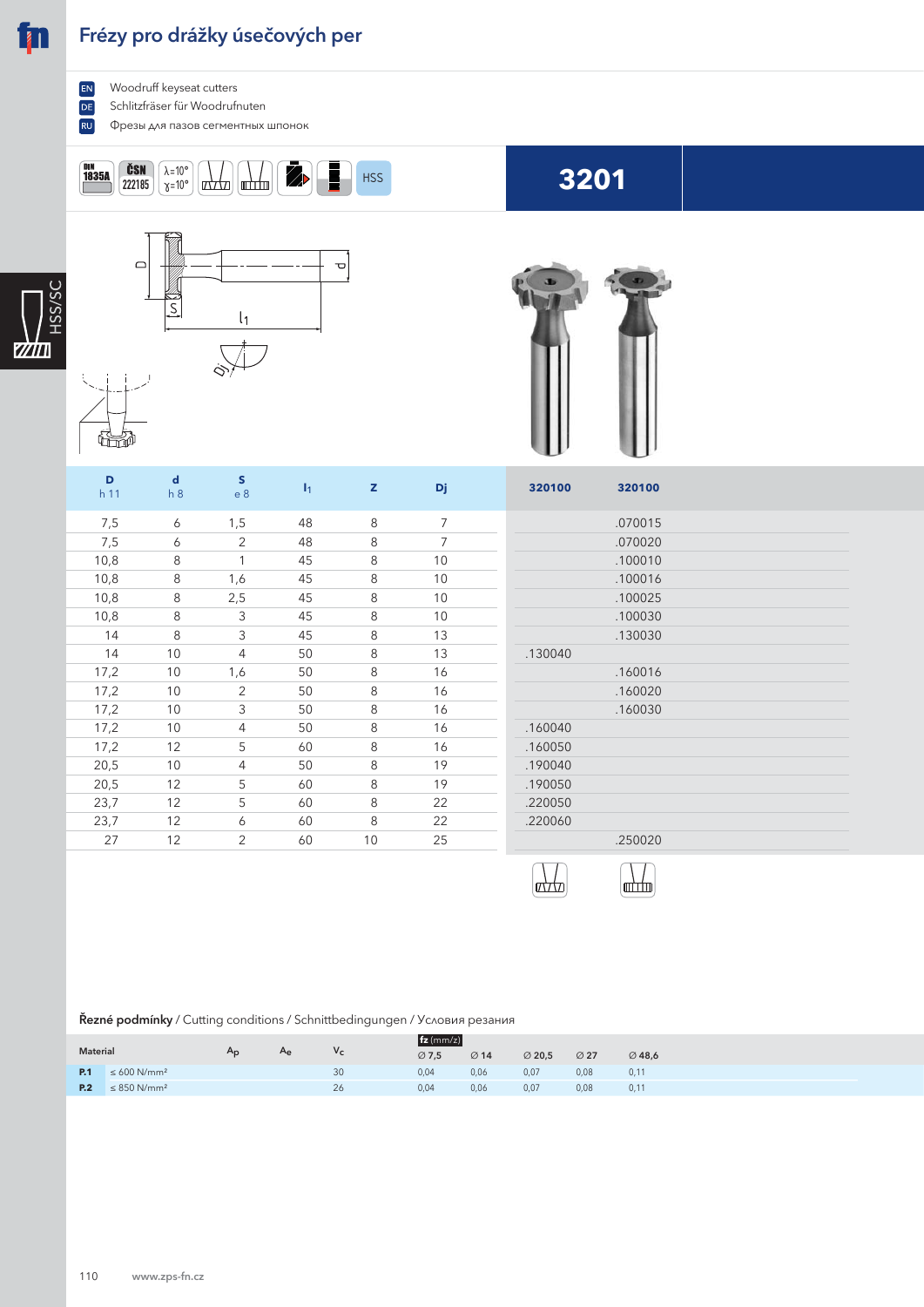

- Schlitzfräser für Woodrufnuten  $DE$
- **RU** Фрезы для пазов сегментных шпонок





备

m

| $\overline{C}$ |  |
|----------------|--|
|                |  |



3201

| D<br>h 11 | $\mathbf d$<br>h8 | $\mathsf{s}$<br>e8 | $\mathbf{I}_1$ | $\mathbf{z}$ | Dj             | 320100<br>320100 |
|-----------|-------------------|--------------------|----------------|--------------|----------------|------------------|
| 7,5       | 6                 | 1,5                | 48             | 8            | $\overline{7}$ | .070015          |
| 7,5       | 6                 | 2                  | 48             | 8            | $\overline{7}$ | .070020          |
| 10,8      | 8                 | 1                  | 45             | 8            | 10             | .100010          |
| 10,8      | 8                 | 1,6                | 45             | 8            | 10             | .100016          |
| 10,8      | 8                 | 2,5                | 45             | 8            | 10             | .100025          |
| 10,8      | 8                 | 3                  | 45             | 8            | 10             | .100030          |
| 14        | 8                 | 3                  | 45             | 8            | 13             | .130030          |
| 14        | 10                | $\overline{4}$     | 50             | 8            | 13             | .130040          |
| 17,2      | 10                | 1,6                | 50             | 8            | 16             | .160016          |
| 17,2      | 10                | 2                  | 50             | 8            | 16             | .160020          |
| 17,2      | 10                | 3                  | 50             | 8            | 16             | .160030          |
| 17,2      | 10                | $\overline{4}$     | 50             | 8            | 16             | .160040          |
| 17,2      | 12                | 5                  | 60             | 8            | 16             | .160050          |
| 20,5      | 10                | $\overline{4}$     | 50             | 8            | 19             | .190040          |
| 20,5      | 12                | 5                  | 60             | 8            | 19             | .190050          |
| 23,7      | 12                | 5                  | 60             | 8            | 22             | .220050          |
| 23,7      | 12                | 6                  | 60             | 8            | 22             | .220060          |
| 27        | 12                | $\overline{2}$     | 60             | 10           | 25             | .250020          |
|           |                   |                    |                |              |                |                  |

| $\prime$     | ш |
|--------------|---|
| $\mathbf{L}$ | ш |

| Material   |                              | $A_{D}$ | $A_{e}$ | $V_c$ | $\left  \frac{{\mathsf{f}} {\mathsf{z}} \, (\mathsf{mm}/\mathsf{z}) \right $<br>$\varnothing$ 7.5 | $\varnothing$ 14 | $\varnothing$ 20,5 | <b>Ø27</b> | Ø48,6 |
|------------|------------------------------|---------|---------|-------|---------------------------------------------------------------------------------------------------|------------------|--------------------|------------|-------|
| <b>P.1</b> | $\leq 600$ N/mm <sup>2</sup> |         |         | 30    | 0,04                                                                                              | 0,06             | 0,07               | 0,08       | 0,11  |
| P.2        | $\leq$ 850 N/mm <sup>2</sup> |         |         | 26    | 0,04                                                                                              | 0,06             | 0,07               | 0.08       | 0,11  |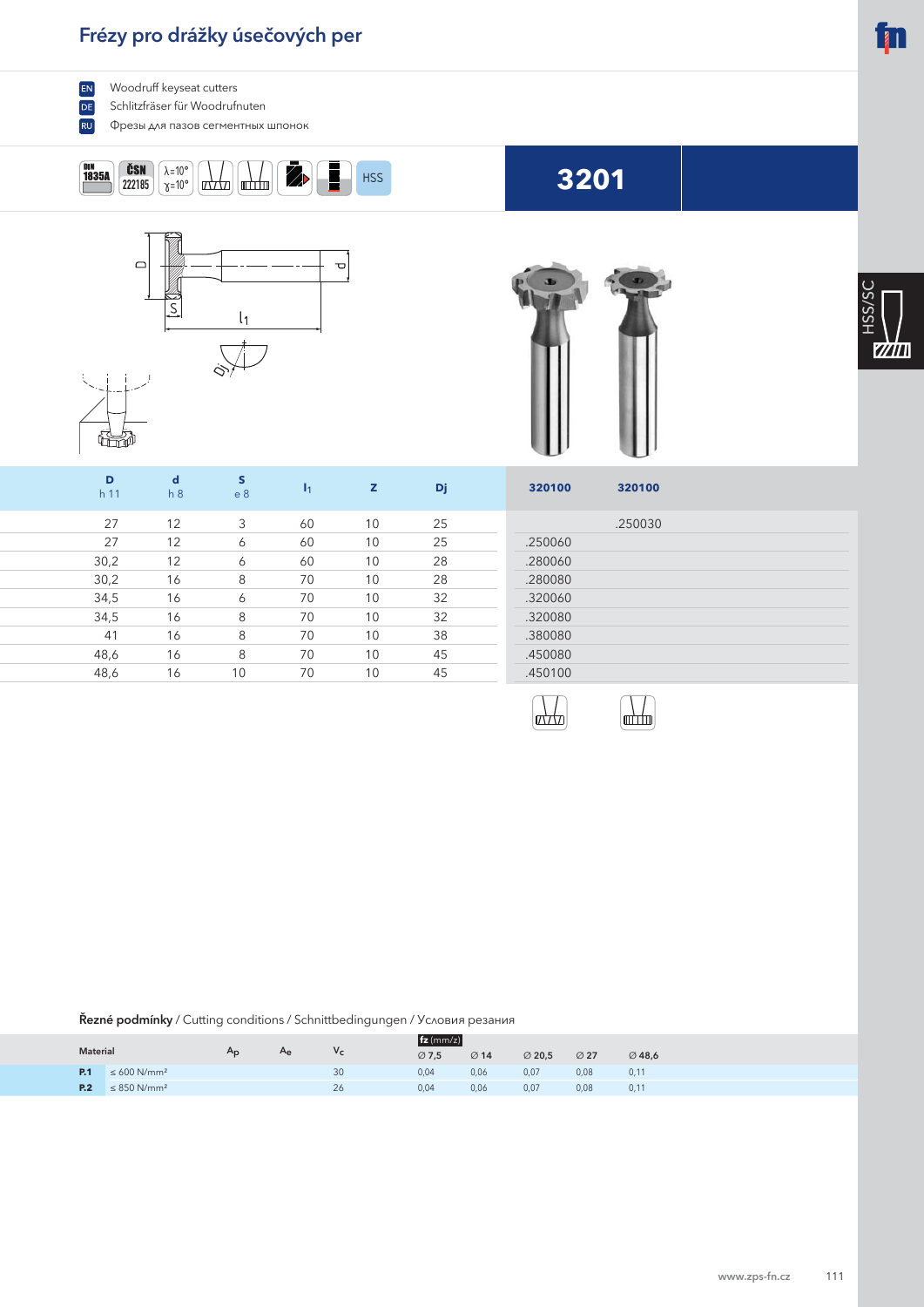

- Schlitzfräser für Woodrufnuten  $DE$
- **RU** Фрезы для пазов сегментных шпонок







3201



fn

| D<br>h 11 | $\mathbf d$<br>h8 | $\mathsf{s}$<br>e <sub>8</sub> | $\mathbf{I}_1$ | z  | Dj | 320100  | 320100  |  |
|-----------|-------------------|--------------------------------|----------------|----|----|---------|---------|--|
| 27        | 12                | 3                              | 60             | 10 | 25 |         | .250030 |  |
| 27        | 12                | 6                              | 60             | 10 | 25 | .250060 |         |  |
| 30,2      | 12                | 6                              | 60             | 10 | 28 | .280060 |         |  |
| 30,2      | 16                | 8                              | 70             | 10 | 28 | .280080 |         |  |
| 34,5      | 16                | 6                              | 70             | 10 | 32 | .320060 |         |  |
| 34,5      | 16                | 8                              | 70             | 10 | 32 | .320080 |         |  |
| 41        | 16                | 8                              | 70             | 10 | 38 | .380080 |         |  |
| 48,6      | 16                | 8                              | 70             | 10 | 45 | .450080 |         |  |
| 48,6      | 16                | 10                             | 70             | 10 | 45 | .450100 |         |  |
|           |                   |                                |                |    |    |         |         |  |



| <b>Material</b> |                              | Ap | $A_{e}$ | $V_c$ | <b>fz</b> (mm/z)<br>$\varnothing$ 7.5 | $\varnothing$ 14 | $\varnothing$ 20,5 | <b>Ø27</b> | Ø48,6 |
|-----------------|------------------------------|----|---------|-------|---------------------------------------|------------------|--------------------|------------|-------|
| <b>P.1</b>      | $\leq 600$ N/mm <sup>2</sup> |    |         | 30    | 0,04                                  | 0,06             | 0,07               | 0,08       | 0,11  |
| P <sub>2</sub>  | $\leq$ 850 N/mm <sup>2</sup> |    |         | 26    | 0,04                                  | 0,06             | 0,07               | 0,08       | 0,11  |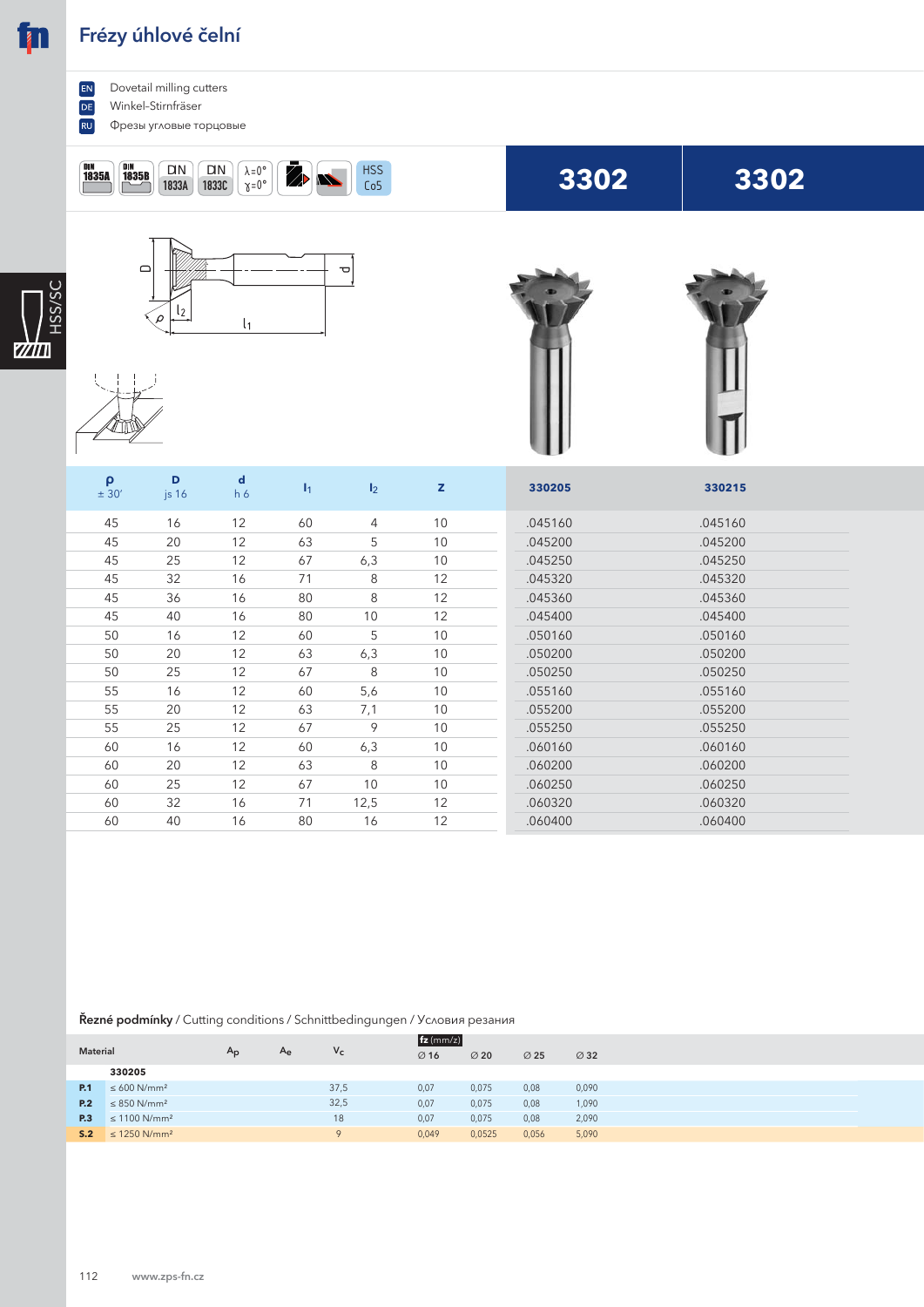# Frézy úhlové čelní



- Winkel-Stirnfräser  $DE$
- **RU** Фрезы угловые торцовые





**in** 









3302



3302

| $\rho$<br>± 30' | D<br>js $16$ | $\mathbf d$<br>h6 | I <sub>1</sub> | I <sub>2</sub> | $\mathbf{z}$ | 330205  | 330215  |
|-----------------|--------------|-------------------|----------------|----------------|--------------|---------|---------|
| 45              | 16           | 12                | 60             | 4              | 10           | .045160 | .045160 |
| 45              | 20           | 12                | 63             | 5              | 10           | .045200 | .045200 |
| 45              | 25           | 12                | 67             | 6,3            | 10           | .045250 | .045250 |
| 45              | 32           | 16                | 71             | 8              | 12           | .045320 | .045320 |
| 45              | 36           | 16                | 80             | 8              | 12           | .045360 | .045360 |
| 45              | 40           | 16                | 80             | 10             | 12           | .045400 | .045400 |
| 50              | 16           | 12                | 60             | 5              | 10           | .050160 | .050160 |
| 50              | 20           | 12                | 63             | 6,3            | 10           | .050200 | .050200 |
| 50              | 25           | 12                | 67             | 8              | 10           | .050250 | .050250 |
| 55              | 16           | 12                | 60             | 5,6            | 10           | .055160 | .055160 |
| 55              | 20           | 12                | 63             | 7,1            | 10           | .055200 | .055200 |
| 55              | 25           | 12                | 67             | 9              | 10           | .055250 | .055250 |
| 60              | 16           | 12                | 60             | 6,3            | 10           | .060160 | .060160 |
| 60              | 20           | 12                | 63             | 8              | 10           | .060200 | .060200 |
| 60              | 25           | 12                | 67             | 10             | 10           | .060250 | .060250 |
| 60              | 32           | 16                | 71             | 12,5           | 12           | .060320 | .060320 |
| 60              | 40           | 16                | 80             | 16             | 12           | .060400 | .060400 |

| <b>Material</b> |                               | $A_{\mathbf{D}}$ | $A_{e}$ | $V_c$   | $ \mathsf{fz}(\mathsf{mm}/z) $<br>Ø16 | $\varnothing$ 20 | $\varnothing$ 25 | Ø 32  |  |  |
|-----------------|-------------------------------|------------------|---------|---------|---------------------------------------|------------------|------------------|-------|--|--|
|                 | 330205                        |                  |         |         |                                       |                  |                  |       |  |  |
| <b>P.1</b>      | $\leq 600$ N/mm <sup>2</sup>  |                  |         | 37,5    | 0,07                                  | 0,075            | 0,08             | 0,090 |  |  |
| P <sub>2</sub>  | $\leq$ 850 N/mm <sup>2</sup>  |                  |         | 32,5    | 0,07                                  | 0,075            | 0,08             | 1,090 |  |  |
| P.3             | $\leq$ 1100 N/mm <sup>2</sup> |                  |         | 18      | 0,07                                  | 0,075            | 0,08             | 2,090 |  |  |
| S.2             | $\leq$ 1250 N/mm <sup>2</sup> |                  |         | $\circ$ | 0.049                                 | 0.0525           | 0.056            | 5.090 |  |  |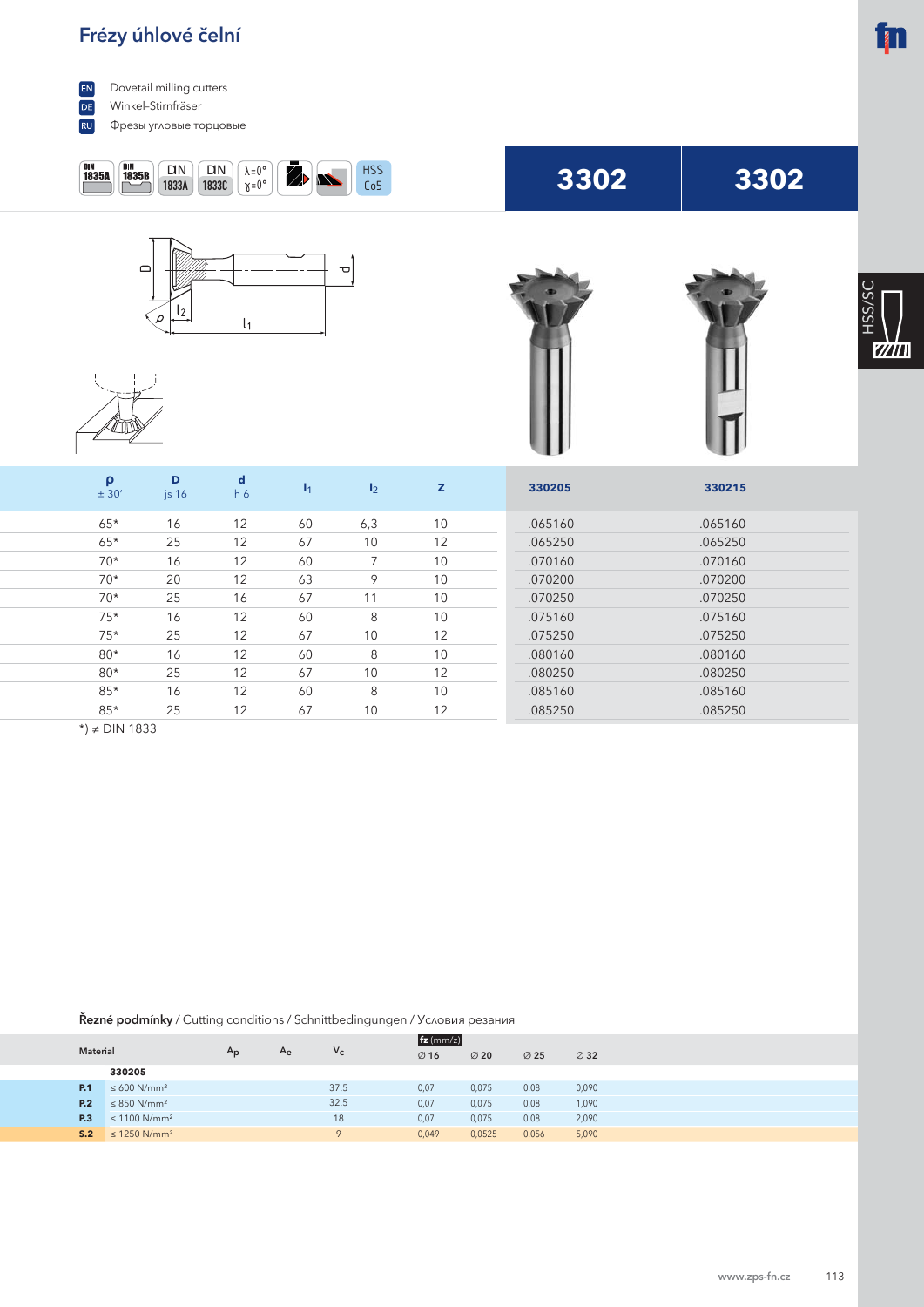### Frézy úhlové čelní



Winkel-Stirnfräser  $DE$ 

**RU** Фрезы угловые торцовые







| $\boldsymbol{\rho}$<br>± 30' | D<br>is 16 | $\mathbf d$<br>h6 | $\mathbf{I}_1$ | 12  | z  | 330205  | 330215  |
|------------------------------|------------|-------------------|----------------|-----|----|---------|---------|
| $65*$                        | 16         | 12                | 60             | 6,3 | 10 | .065160 | .065160 |
| $65*$                        | 25         | 12                | 67             | 10  | 12 | .065250 | .065250 |
| $70*$                        | 16         | 12                | 60             |     | 10 | .070160 | .070160 |
| $70*$                        | 20         | 12                | 63             | 9   | 10 | .070200 | .070200 |
| $70*$                        | 25         | 16                | 67             | 11  | 10 | .070250 | .070250 |
| $75*$                        | 16         | 12                | 60             | 8   | 10 | .075160 | .075160 |
| $75*$                        | 25         | 12                | 67             | 10  | 12 | .075250 | .075250 |
| $80*$                        | 16         | 12                | 60             | 8   | 10 | .080160 | .080160 |
| $80*$                        | 25         | 12                | 67             | 10  | 12 | .080250 | .080250 |
| $85*$                        | 16         | 12                | 60             | 8   | 10 | .085160 | .085160 |
| $85*$                        | 25         | 12                | 67             | 10  | 12 | .085250 | .085250 |

3302

\*)  $\neq$  DIN 1833

Řezné podmínky / Cutting conditions / Schnittbedingungen / Условия резания

| <b>Material</b> |                               | $A_{\mathsf{D}}$ | $A_{e}$ | $V_c$   | $ f$ z (mm/z)<br>Ø16 | $\varnothing$ 20 | Ø 25  | $\varnothing$ 32 |
|-----------------|-------------------------------|------------------|---------|---------|----------------------|------------------|-------|------------------|
|                 | 330205                        |                  |         |         |                      |                  |       |                  |
| <b>P.1</b>      | $\leq 600$ N/mm <sup>2</sup>  |                  |         | 37,5    | 0,07                 | 0,075            | 0,08  | 0,090            |
| P.2             | $\leq$ 850 N/mm <sup>2</sup>  |                  |         | 32,5    | 0,07                 | 0,075            | 0,08  | 1,090            |
| P.3             | $\leq$ 1100 N/mm <sup>2</sup> |                  |         | 18      | 0,07                 | 0,075            | 0,08  | 2,090            |
| S.2             | $\leq$ 1250 N/mm <sup>2</sup> |                  |         | $\circ$ | 0,049                | 0,0525           | 0,056 | 5,090            |



3302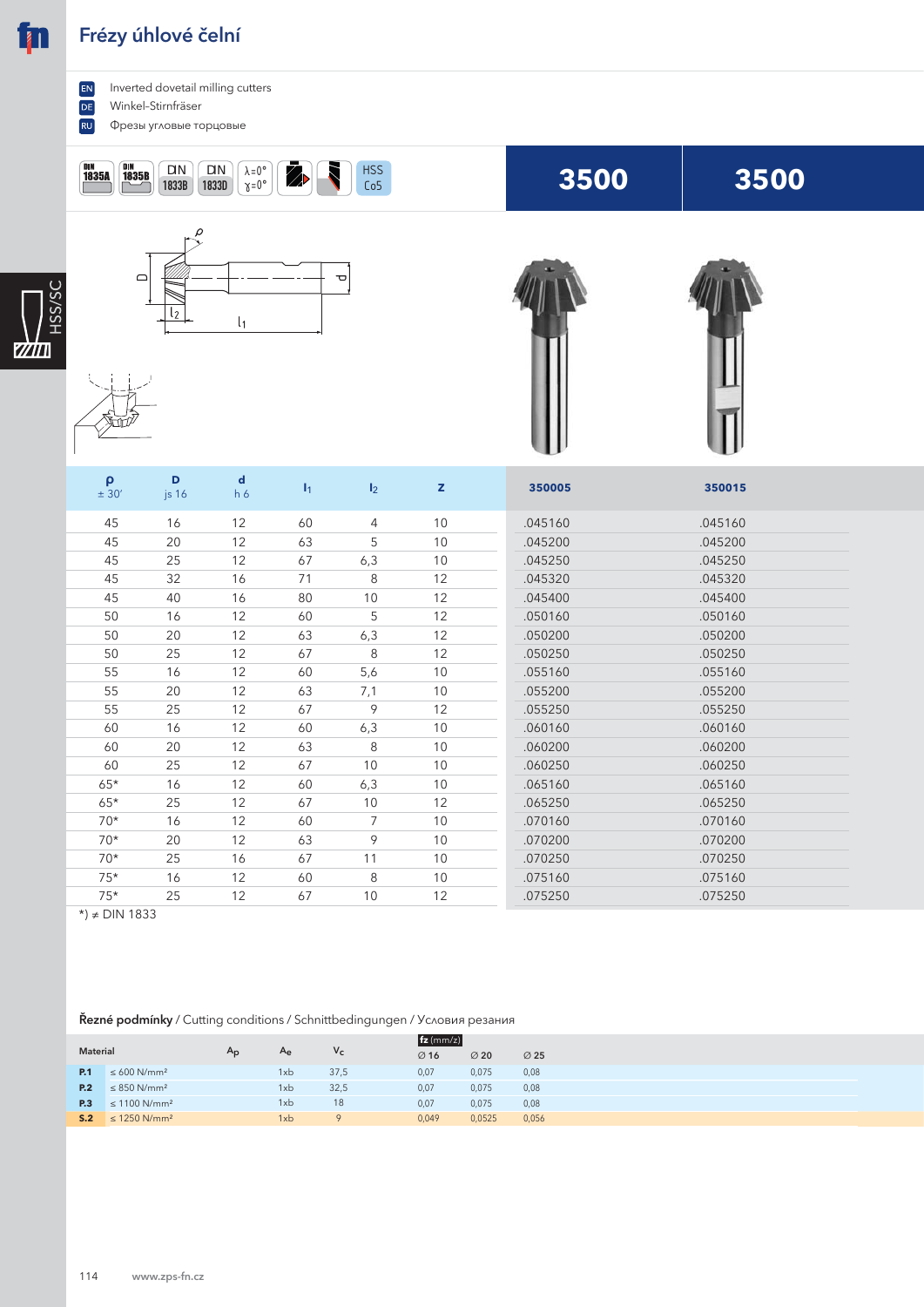# Frézy úhlové čelní



- Inverted dovetail milling cutters
- Winkel-Stirnfräser  $DE$
- **RU** Фрезы угловые торцовые







**in** 



3500



3500

| $\rho$<br>$\pm$ 30' | D<br>js $16$ | $\mathbf d$<br>h6 | $\mathbf{I}_1$ | I <sub>2</sub> | $\mathbf{z}$ | 350005  | 350015  |
|---------------------|--------------|-------------------|----------------|----------------|--------------|---------|---------|
| 45                  | 16           | 12                | 60             | 4              | 10           | .045160 | .045160 |
| 45                  | 20           | 12                | 63             | 5              | 10           | .045200 | .045200 |
| 45                  | 25           | 12                | 67             | 6,3            | 10           | .045250 | .045250 |
| 45                  | 32           | 16                | 71             | 8              | 12           | .045320 | .045320 |
| 45                  | 40           | 16                | 80             | 10             | 12           | .045400 | .045400 |
| 50                  | 16           | 12                | 60             | 5              | 12           | .050160 | .050160 |
| 50                  | 20           | 12                | 63             | 6,3            | 12           | .050200 | .050200 |
| 50                  | 25           | 12                | 67             | 8              | 12           | .050250 | .050250 |
| 55                  | 16           | 12                | 60             | 5,6            | 10           | .055160 | .055160 |
| 55                  | 20           | 12                | 63             | 7,1            | 10           | .055200 | .055200 |
| 55                  | 25           | 12                | 67             | 9              | 12           | .055250 | .055250 |
| 60                  | 16           | 12                | 60             | 6,3            | 10           | .060160 | .060160 |
| 60                  | 20           | 12                | 63             | 8              | 10           | .060200 | .060200 |
| 60                  | 25           | 12                | 67             | 10             | 10           | .060250 | .060250 |
| $65*$               | 16           | 12                | 60             | 6,3            | 10           | .065160 | .065160 |
| $65*$               | 25           | 12                | 67             | 10             | 12           | .065250 | .065250 |
| $70*$               | 16           | 12                | 60             | $\overline{7}$ | 10           | .070160 | .070160 |
| $70*$               | 20           | 12                | 63             | 9              | 10           | .070200 | .070200 |
| $70*$               | 25           | 16                | 67             | 11             | 10           | .070250 | .070250 |
| $75*$               | 16           | 12                | 60             | 8              | 10           | .075160 | .075160 |
| $75*$               | 25           | 12                | 67             | 10             | 12           | 075250  | .075250 |

\*)  $\neq$  DIN 1833

| Material   |                               | $A_{D}$ | $A_{e}$ | $V_c$   | $fz$ (mm/z)<br>Ø16 | $\varnothing$ 20 | Ø 25  |  |  |  |
|------------|-------------------------------|---------|---------|---------|--------------------|------------------|-------|--|--|--|
| <b>P.1</b> | $\leq 600$ N/mm <sup>2</sup>  |         | 1xb     | 37,5    | 0,07               | 0,075            | 0,08  |  |  |  |
| P.2        | $\leq$ 850 N/mm <sup>2</sup>  |         | 1xb     | 32,5    | 0,07               | 0,075            | 0,08  |  |  |  |
| P.3        | $\leq$ 1100 N/mm <sup>2</sup> |         | 1xb     | 18      | 0,07               | 0,075            | 0,08  |  |  |  |
| S.2        | $\leq$ 1250 N/mm <sup>2</sup> |         | 1xb     | $\circ$ | 0,049              | 0,0525           | 0,056 |  |  |  |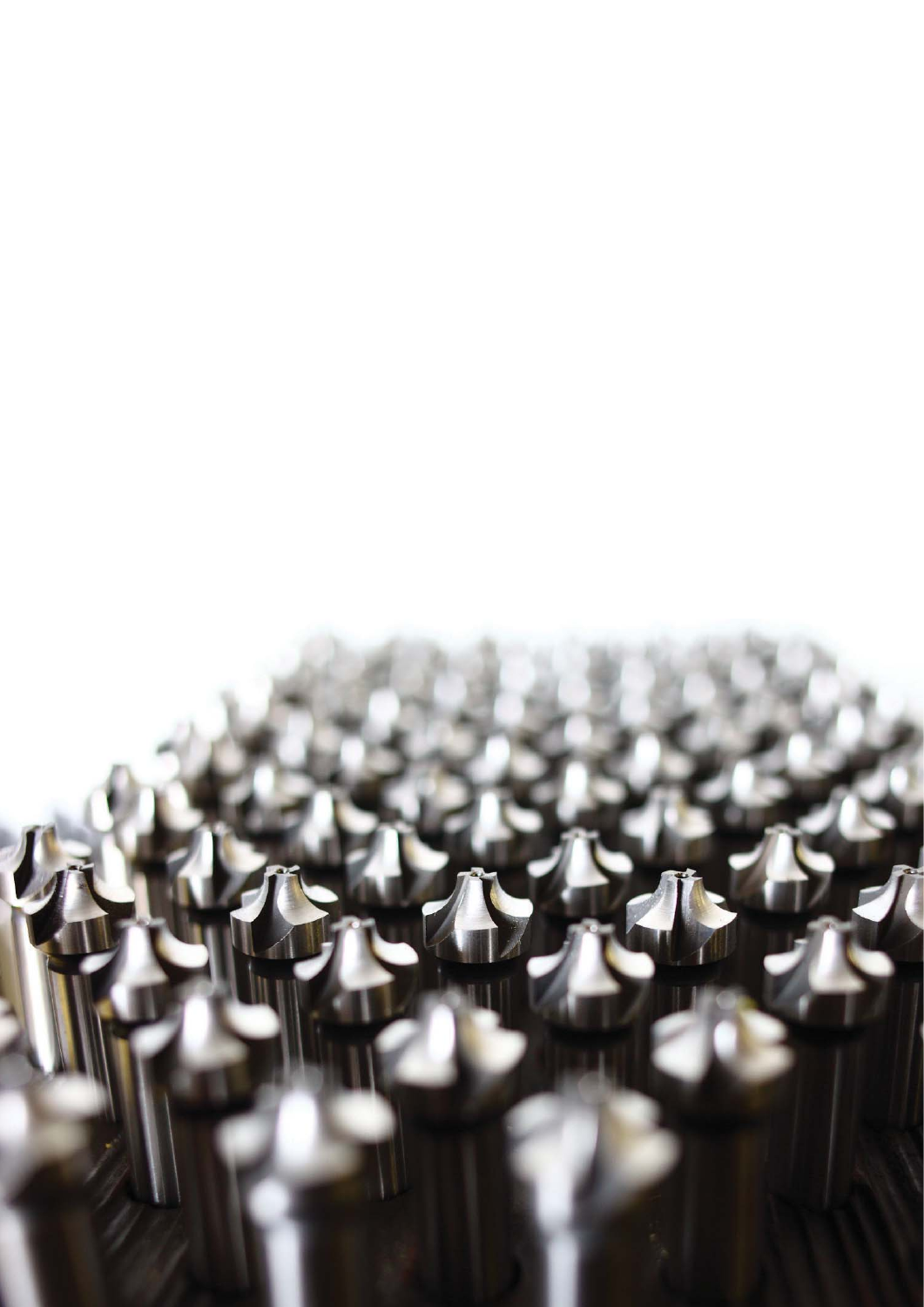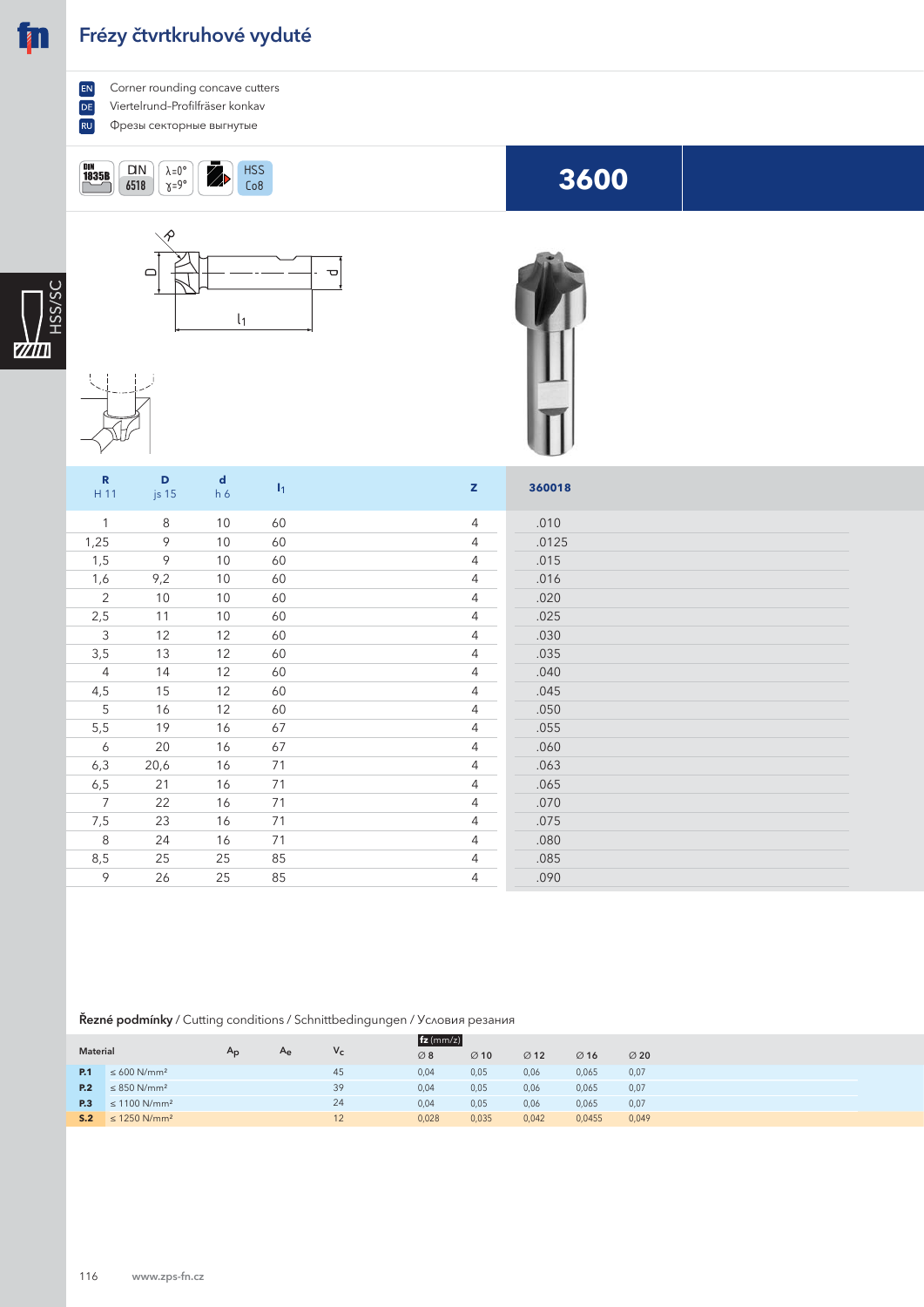# Frézy čtvrtkruhové vyduté



**in** 

<u>ezhon</u>

- Viertelrund-Profilfräser konkav  $DE$
- **RU** Фрезы секторные выгнутые



| n.<br>H 11       | ◡<br>js 15 | u<br>h6 | I <sub>1</sub> | $\mathbf{z}$   | 360018 |  |
|------------------|------------|---------|----------------|----------------|--------|--|
| 1                | 8          | 10      | 60             | $\overline{4}$ | .010   |  |
| 1,25             | 9          | 10      | 60             | $\overline{4}$ | .0125  |  |
| 1,5              | 9          | 10      | 60             | $\overline{4}$ | .015   |  |
| 1,6              | 9,2        | 10      | 60             | $\overline{4}$ | .016   |  |
| $\overline{2}$   | 10         | 10      | 60             | $\overline{4}$ | .020   |  |
| 2,5              | 11         | 10      | 60             | $\overline{4}$ | .025   |  |
| $\mathsf 3$      | 12         | 12      | 60             | $\overline{4}$ | .030   |  |
| 3,5              | 13         | 12      | 60             | $\overline{4}$ | .035   |  |
| $\overline{4}$   | 14         | 12      | 60             | $\overline{4}$ | .040   |  |
| 4,5              | 15         | 12      | 60             | $\overline{4}$ | .045   |  |
| $\sqrt{5}$       | 16         | 12      | 60             | $\overline{4}$ | $.050$ |  |
| 5,5              | 19         | 16      | 67             | $\overline{4}$ | .055   |  |
| $\boldsymbol{6}$ | 20         | 16      | 67             | $\overline{4}$ | $.060$ |  |
| 6,3              | 20,6       | 16      | 71             | $\overline{4}$ | .063   |  |
| 6, 5             | 21         | 16      | 71             | $\overline{4}$ | .065   |  |
| $\overline{7}$   | 22         | 16      | 71             | $\overline{4}$ | .070   |  |
| 7,5              | 23         | 16      | 71             | $\overline{4}$ | .075   |  |
| $\,8\,$          | 24         | 16      | 71             | $\overline{4}$ | .080   |  |
| 8,5              | 25         | 25      | 85             | $\overline{4}$ | .085   |  |
| 9                | 26         | 25      | 85             | $\overline{4}$ | .090   |  |
|                  |            |         |                |                |        |  |

| <b>Material</b> |                               | $A_{D}$ | $A_{\rm e}$ | $V_c$ | $ \mathbf{f}\mathbf{z}$ (mm/z)<br>$\varnothing$ 8 | $\varnothing$ 10 | $\varnothing$ 12 | $\varnothing$ 16 | $\varnothing$ 20 |
|-----------------|-------------------------------|---------|-------------|-------|---------------------------------------------------|------------------|------------------|------------------|------------------|
| <b>P.1</b>      | $\leq 600$ N/mm <sup>2</sup>  |         |             | 45    | 0,04                                              | 0,05             | 0,06             | 0,065            | 0,07             |
| P <sub>2</sub>  | $\leq$ 850 N/mm <sup>2</sup>  |         |             | 39    | 0,04                                              | 0,05             | 0,06             | 0,065            | 0,07             |
| P.3             | $\leq$ 1100 N/mm <sup>2</sup> |         |             | 24    | 0,04                                              | 0,05             | 0,06             | 0,065            | 0,07             |
| S.2             | $\leq$ 1250 N/mm <sup>2</sup> |         |             | 12    | 0,028                                             | 0,035            | 0,042            | 0,0455           | 0,049            |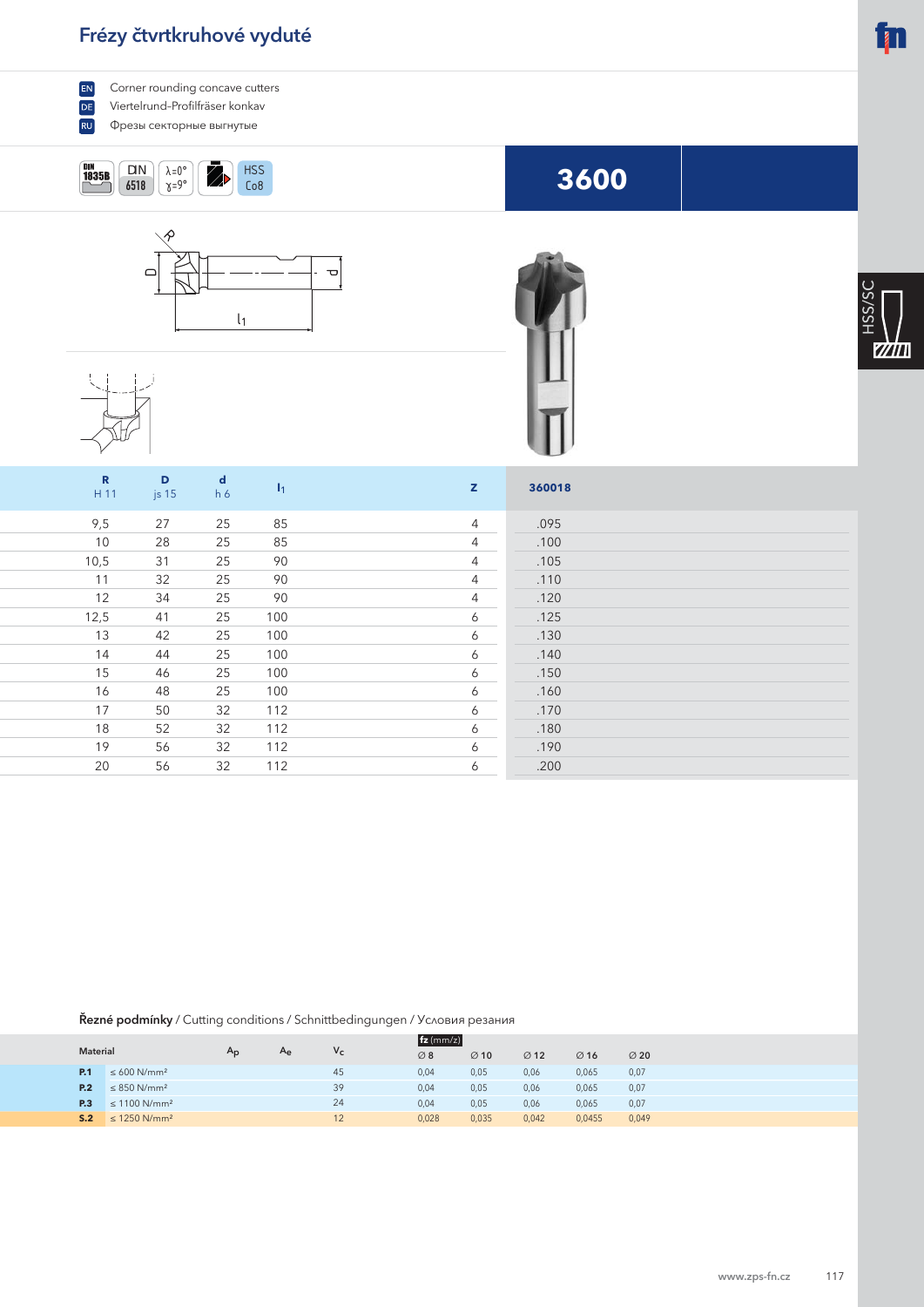### Frézy čtvrtkruhové vyduté



- Corner rounding concave cutters EN
- Viertelrund-Profilfräser konkav  $DE$
- **RU** Фрезы секторные выгнутые



 $\boldsymbol{6}$ 

 $\boldsymbol{6}$ 

 $\delta$ 

 $\boldsymbol{6}$ 

 $\boldsymbol{6}$ 

 $\boldsymbol{6}$ 

.150

.160

.170

.180

.190

.200

Řezné podmínky / Cutting conditions / Schnittbedingungen / Условия резания

 $\overline{25}$ 

 $\overline{25}$ 

32

32

32

32

100

100

112

112

112

112

15

16

17

18

19

20

46

48

50

52

56

56

| <b>Material</b> |                               | A <sub>D</sub> | $A_{e}$ | $V_c$ | $fz$ (mm/z)<br>$\varnothing$ 8 | $\varnothing$ 10 | $\varnothing$ 12 | Ø16    | $\varnothing$ 20 |
|-----------------|-------------------------------|----------------|---------|-------|--------------------------------|------------------|------------------|--------|------------------|
| <b>P.1</b>      | $\leq 600$ N/mm <sup>2</sup>  |                |         | 45    | 0,04                           | 0,05             | 0,06             | 0,065  | 0,07             |
| P.2             | $\leq$ 850 N/mm <sup>2</sup>  |                |         | 39    | 0,04                           | 0,05             | 0,06             | 0,065  | 0,07             |
| P.3             | $\leq$ 1100 N/mm <sup>2</sup> |                |         | 24    | 0,04                           | 0,05             | 0,06             | 0,065  | 0,07             |
| S.2             | $\leq$ 1250 N/mm <sup>2</sup> |                |         | 12    | 0,028                          | 0,035            | 0,042            | 0,0455 | 0,049            |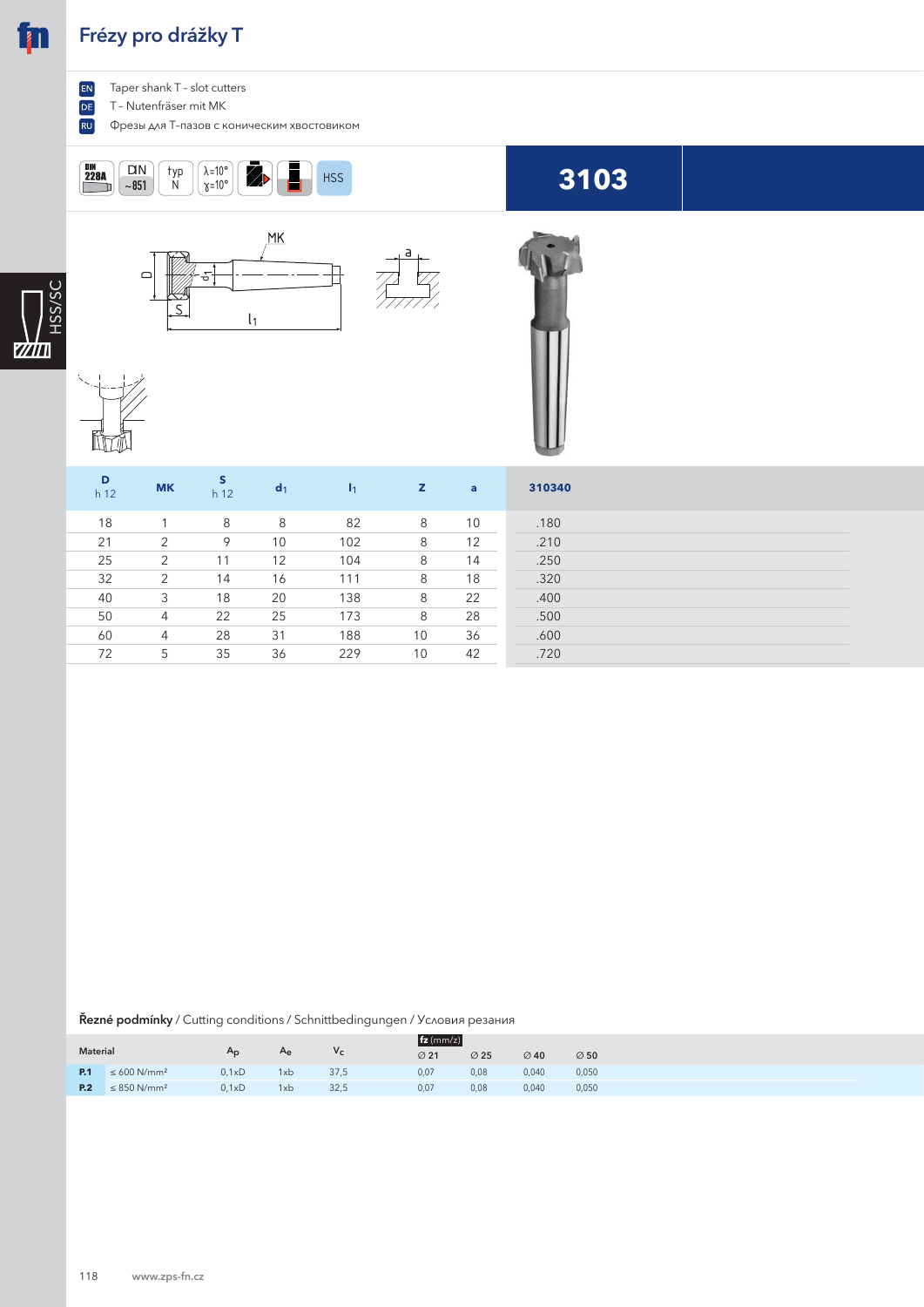# Frézy pro drážky T



- T Nutenfräser mit MK  $DE$
- **RU** Фрезы для Т-пазов с коническим хвостовиком









**in** 

| <b>FILLY</b> |           |           |                |                |    |    | <b>STATISTICS</b> |
|--------------|-----------|-----------|----------------|----------------|----|----|-------------------|
| D<br>h 12    | <b>MK</b> | S<br>h 12 | d <sub>1</sub> | $\mathbf{I}_1$ | z  | a  | 310340            |
| 18           | 1         | 8         | 8              | 82             | 8  | 10 | .180              |
| 21           | 2         | 9         | 10             | 102            | 8  | 12 | .210              |
| 25           | 2         | 11        | 12             | 104            | 8  | 14 | .250              |
| 32           | 2         | 14        | 16             | 111            | 8  | 18 | .320              |
| 40           | 3         | 18        | 20             | 138            | 8  | 22 | .400              |
| 50           | 4         | 22        | 25             | 173            | 8  | 28 | .500              |
| 60           | 4         | 28        | 31             | 188            | 10 | 36 | .600              |
| 72           | 5         | 35        | 36             | 229            | 10 | 42 | .720              |
|              |           |           |                |                |    |    |                   |

3103

| Material   |                              | $A_{D}$ | $A_{e}$ | $V_c$ | $ f$ z (mm/z) $ $<br>Ø 21 | $\varnothing$ 25 | $\varnothing$ 40 | $\varnothing$ 50 |
|------------|------------------------------|---------|---------|-------|---------------------------|------------------|------------------|------------------|
| <b>P.1</b> | $\leq 600$ N/mm <sup>2</sup> | 0,1xD   | 1xb     | 37,5  | 0,07                      | 0,08             | 0,040            | 0,050            |
| P.2        | $\leq$ 850 N/mm <sup>2</sup> | 0.1xD   | 1xb     | 32,5  | 0.07                      | 0,08             | 0,040            | 0,050            |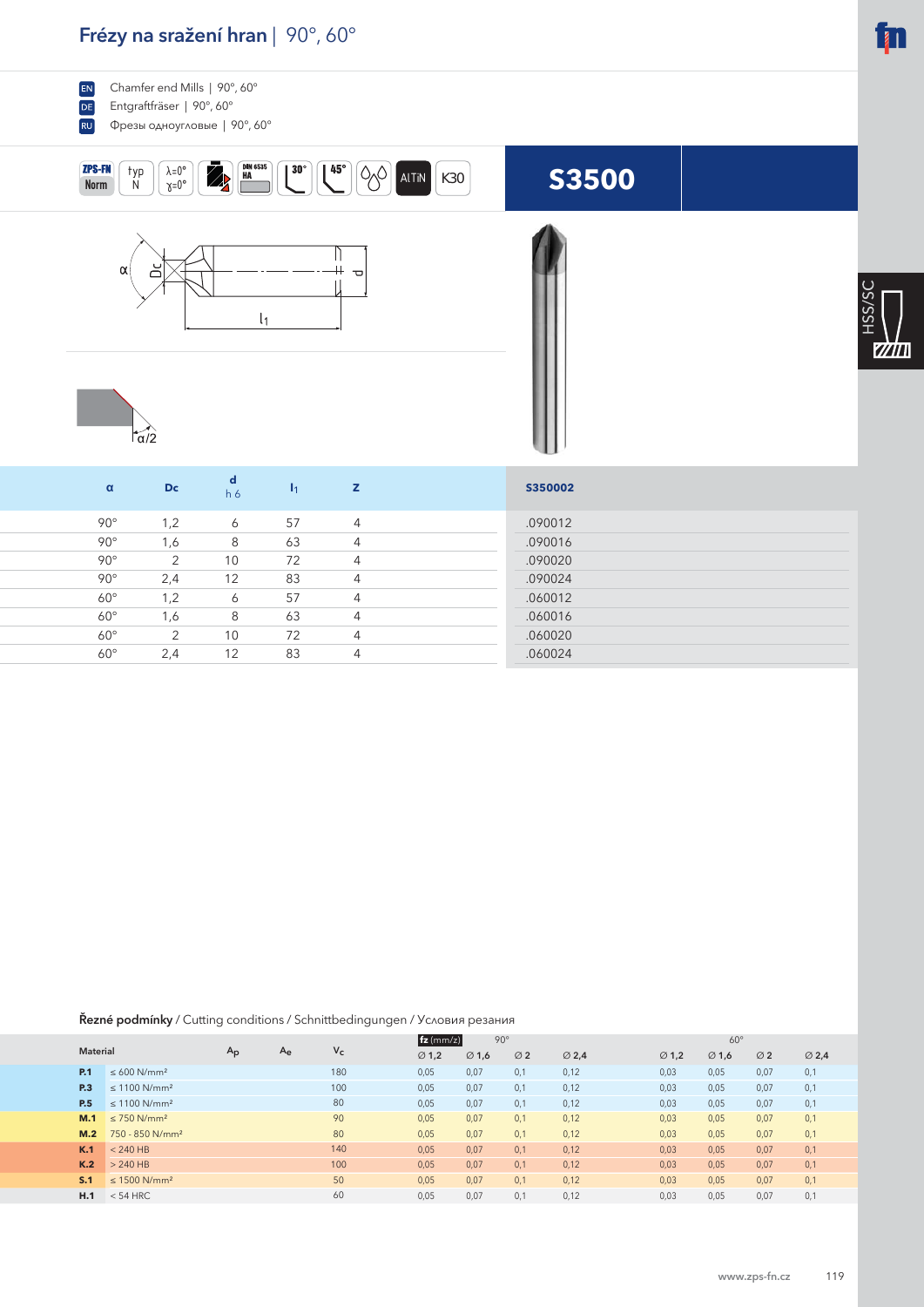# Frézy na sražení hran | 90°, 60°



Entgraftfräser | 90°, 60°  $\boxed{\mathsf{DE}}$ 

 $\sim$ 

Фрезы одноугловые | 90°, 60° **RU** 



| $\alpha$     | Dc  | d<br>h 6 | $\mathbf{I}$ | z              | S350002 |
|--------------|-----|----------|--------------|----------------|---------|
| $90^{\circ}$ | 1,2 | 6        | 57           | $\overline{4}$ | .090012 |
| $90^{\circ}$ | 1,6 | 8        | 63           | $\overline{4}$ | .090016 |
| $90^\circ$   | 2   | 10       | 72           | $\overline{4}$ | .090020 |
| $90^{\circ}$ | 2,4 | 12       | 83           | $\overline{4}$ | .090024 |
| $60^\circ$   | 1,2 | 6        | 57           | $\overline{4}$ | .060012 |
| $60^\circ$   | 1,6 | 8        | 63           | $\overline{4}$ | .060016 |
| $60^\circ$   | 2   | 10       | 72           | $\overline{4}$ | .060020 |
| $60^\circ$   | 2,4 | 12       | 83           | $\overline{4}$ | .060024 |

Řezné podmínky / Cutting conditions / Schnittbedingungen / Условия резания

|                 |                               |                |         |       | $ f$ z (mm/z)     | $90^\circ$        |                 |                   | $60^\circ$        |                   |                 |                   |  |
|-----------------|-------------------------------|----------------|---------|-------|-------------------|-------------------|-----------------|-------------------|-------------------|-------------------|-----------------|-------------------|--|
| <b>Material</b> |                               | A <sub>D</sub> | $A_{e}$ | $V_c$ | $\varnothing$ 1,2 | $\varnothing$ 1,6 | $\varnothing$ 2 | $\varnothing$ 2,4 | $\varnothing$ 1,2 | $\varnothing$ 1,6 | $\varnothing$ 2 | $\varnothing$ 2,4 |  |
| <b>P.1</b>      | $< 600$ N/mm <sup>2</sup>     |                |         | 180   | 0,05              | 0,07              | 0,1             | 0,12              | 0,03              | 0,05              | 0,07            | 0,1               |  |
| P.3             | $< 1100$ N/mm <sup>2</sup>    |                |         | 100   | 0,05              | 0,07              | 0,1             | 0,12              | 0,03              | 0,05              | 0,07            | 0,1               |  |
| <b>P.5</b>      | $\leq$ 1100 N/mm <sup>2</sup> |                |         | 80    | 0,05              | 0,07              | 0,1             | 0,12              | 0,03              | 0,05              | 0,07            | 0,1               |  |
| M.1             | $< 750$ N/mm <sup>2</sup>     |                |         | 90    | 0,05              | 0,07              | 0,1             | 0,12              | 0,03              | 0,05              | 0,07            | 0,1               |  |
| M.2             | $750 - 850 N/mm^2$            |                |         | 80    | 0,05              | 0,07              | 0,1             | 0,12              | 0,03              | 0,05              | 0,07            | 0,1               |  |
| K.1             | $< 240$ HB                    |                |         | 140   | 0,05              | 0,07              | 0,1             | 0,12              | 0,03              | 0,05              | 0,07            | 0,1               |  |
| K.2             | $> 240$ HB                    |                |         | 100   | 0,05              | 0,07              | 0,1             | 0,12              | 0,03              | 0,05              | 0,07            | 0,1               |  |
| S.1             | $< 1500$ N/mm <sup>2</sup>    |                |         | 50    | 0,05              | 0,07              | 0,1             | 0,12              | 0,03              | 0,05              | 0,07            | 0,1               |  |
| H.1             | $<$ 54 HRC                    |                |         | 60    | 0,05              | 0,07              | 0,1             | 0,12              | 0,03              | 0,05              | 0,07            | 0,1               |  |

fn

<u>ezim</u>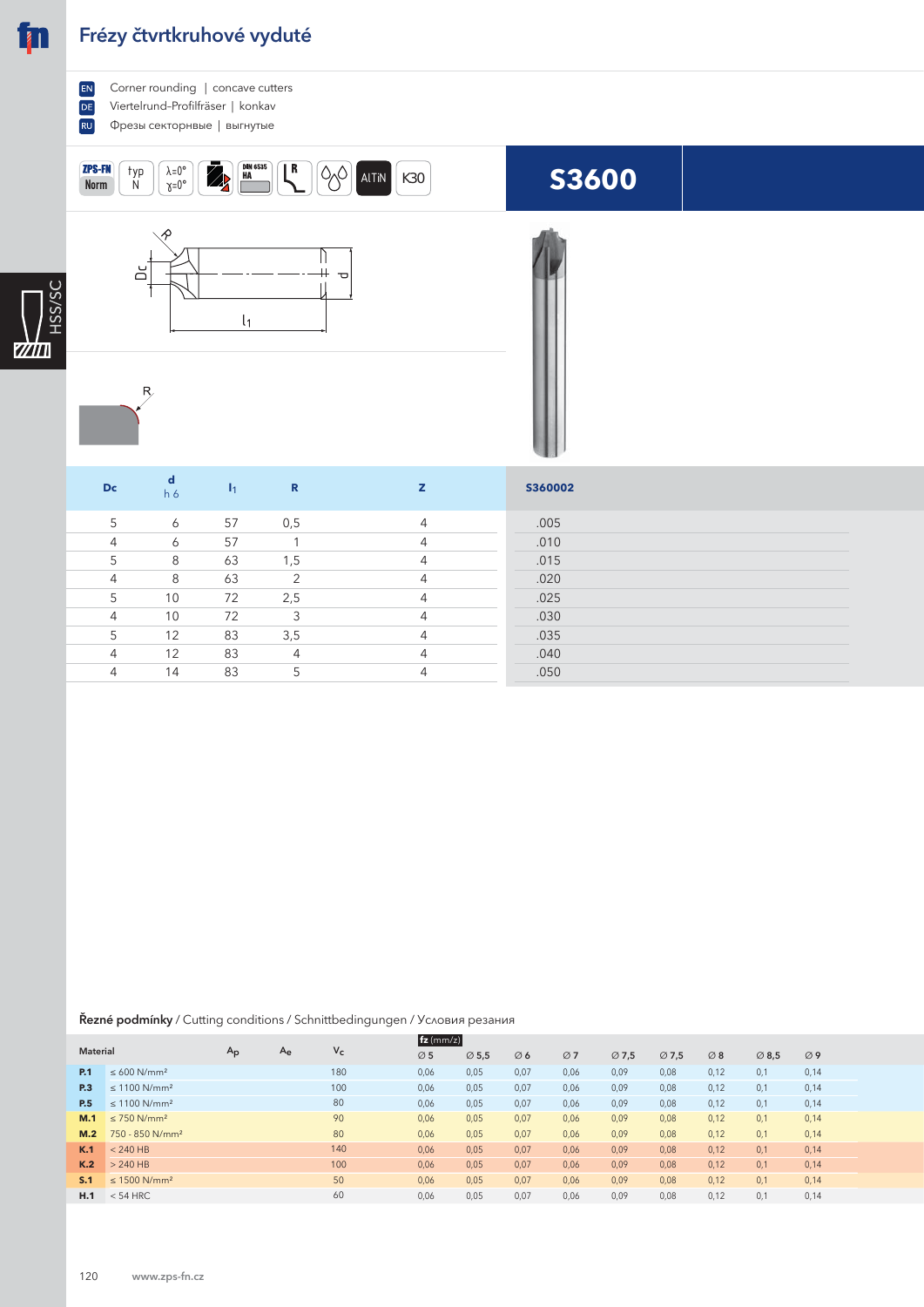# Frézy čtvrtkruhové vyduté



m

- Viertelrund-Profilfräser | konkav  $DE$
- **RU** Фрезы секторнвые | выгнутые



| <b>Dc</b>      | h 6               | $\mathbf{I}$ | $\mathbf R$   | z | S360002 |  |
|----------------|-------------------|--------------|---------------|---|---------|--|
| 5              | 6                 | 57           | 0,5           | 4 | .005    |  |
| $\overline{4}$ | 6                 | 57           |               | 4 | .010    |  |
| 5              | 8                 | 63           | 1,5           |   | .015    |  |
| $\overline{4}$ | 8                 | 63           | $\mathcal{P}$ | 4 | .020    |  |
| 5              | 10                | 72           | 2,5           | 4 | .025    |  |
| $\overline{4}$ | 10                | 72           | 3             | 4 | .030    |  |
| 5              | 12                | 83           | 3,5           |   | .035    |  |
| $\overline{4}$ | $12 \overline{ }$ | 83           | 4             |   | .040    |  |
| 4              | 14                | 83           |               |   | .050    |  |

|                 |                               |         |         |       | $f$ z (mm/z)    |                   |                 |      |                   |                   |                 |                   |                 |
|-----------------|-------------------------------|---------|---------|-------|-----------------|-------------------|-----------------|------|-------------------|-------------------|-----------------|-------------------|-----------------|
| <b>Material</b> |                               | $A_{p}$ | $A_{e}$ | $V_c$ | $\varnothing$ 5 | $\varnothing$ 5,5 | $\varnothing$ 6 | ØI   | $\varnothing$ 7.5 | $\varnothing$ 7.5 | $\varnothing$ 8 | $\varnothing$ 8,5 | $\varnothing$ 9 |
| <b>P.1</b>      | $< 600$ N/mm <sup>2</sup>     |         |         | 180   | 0,06            | 0,05              | 0,07            | 0,06 | 0,09              | 0,08              | 0,12            | 0,1               | 0,14            |
| P.3             | $\leq$ 1100 N/mm <sup>2</sup> |         |         | 100   | 0,06            | 0,05              | 0,07            | 0,06 | 0,09              | 0,08              | 0,12            | 0,1               | 0,14            |
| <b>P.5</b>      | $< 1100$ N/mm <sup>2</sup>    |         |         | 80    | 0,06            | 0,05              | 0,07            | 0,06 | 0,09              | 0,08              | 0,12            | 0,1               | 0,14            |
| M.1             | $\leq$ 750 N/mm <sup>2</sup>  |         |         | 90    | 0,06            | 0,05              | 0,07            | 0,06 | 0,09              | 0,08              | 0,12            | 0,1               | 0,14            |
| M.2             | 750 - 850 N/mm <sup>2</sup>   |         |         | 80    | 0,06            | 0,05              | 0,07            | 0,06 | 0,09              | 0,08              | 0,12            | 0,1               | 0,14            |
| K.1             | $< 240$ HB                    |         |         | 140   | 0,06            | 0,05              | 0,07            | 0,06 | 0,09              | 0,08              | 0,12            | 0,1               | 0,14            |
| K.2             | $>240$ HB                     |         |         | 100   | 0,06            | 0,05              | 0,07            | 0,06 | 0,09              | 0,08              | 0,12            | 0,1               | 0,14            |
| S.1             | $\leq$ 1500 N/mm <sup>2</sup> |         |         | 50    | 0,06            | 0,05              | 0,07            | 0,06 | 0,09              | 0,08              | 0,12            | 0,1               | 0,14            |
| H.1             | $<$ 54 HRC                    |         |         | 60    | 0,06            | 0,05              | 0,07            | 0,06 | 0,09              | 0,08              | 0,12            | 0,1               | 0,14            |